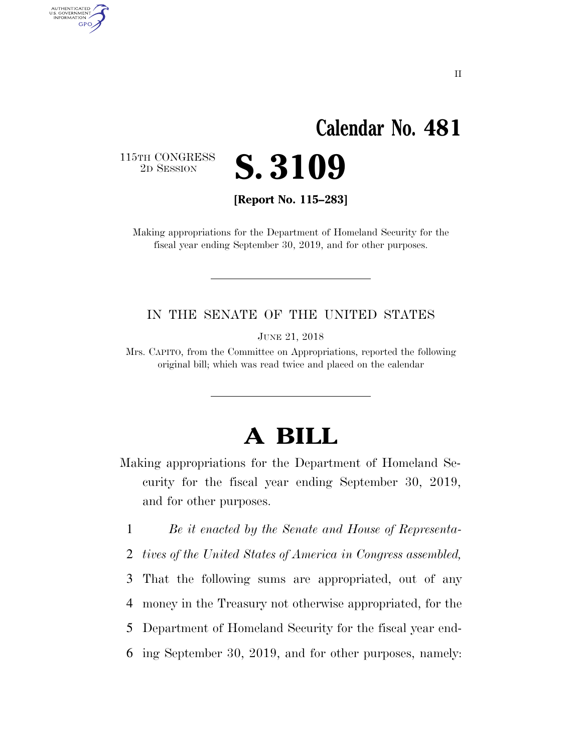# **Calendar No. 481**

115TH CONGRESS<br>2D SESSION

AUTHENTICATED<br>U.S. GOVERNMENT<br>INFORMATION

**GPO** 

**[Report No. 115–283]** 

2D SESSION **S. 3109** 

Making appropriations for the Department of Homeland Security for the fiscal year ending September 30, 2019, and for other purposes.

#### IN THE SENATE OF THE UNITED STATES

JUNE 21, 2018

Mrs. CAPITO, from the Committee on Appropriations, reported the following original bill; which was read twice and placed on the calendar

# **A BILL**

Making appropriations for the Department of Homeland Security for the fiscal year ending September 30, 2019, and for other purposes.

1 *Be it enacted by the Senate and House of Representa-*

2 *tives of the United States of America in Congress assembled,* 

3 That the following sums are appropriated, out of any

4 money in the Treasury not otherwise appropriated, for the

5 Department of Homeland Security for the fiscal year end-

6 ing September 30, 2019, and for other purposes, namely: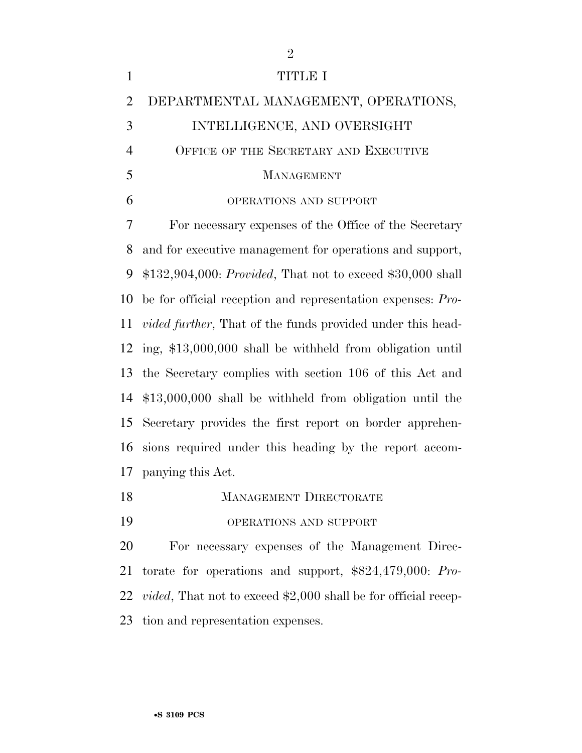| $\mathbf{1}$   | <b>TITLE I</b>                                                     |
|----------------|--------------------------------------------------------------------|
| $\overline{2}$ | DEPARTMENTAL MANAGEMENT, OPERATIONS,                               |
| 3              | INTELLIGENCE, AND OVERSIGHT                                        |
| $\overline{4}$ | OFFICE OF THE SECRETARY AND EXECUTIVE                              |
| 5              | <b>MANAGEMENT</b>                                                  |
| 6              | OPERATIONS AND SUPPORT                                             |
| 7              | For necessary expenses of the Office of the Secretary              |
| 8              | and for executive management for operations and support,           |
| 9              | $$132,904,000: Provided, That not to exceed $30,000 shall$         |
| 10             | be for official reception and representation expenses: Pro-        |
| 11             | <i>vided further</i> , That of the funds provided under this head- |
| 12             | ing, \$13,000,000 shall be withheld from obligation until          |
| 13             | the Secretary complies with section 106 of this Act and            |
| 14             | $$13,000,000$ shall be withheld from obligation until the          |
| 15             | Secretary provides the first report on border apprehen-            |
| 16             | sions required under this heading by the report accom-             |
|                | 17 panying this Act.                                               |
| 18             | <b>MANAGEMENT DIRECTORATE</b>                                      |
| 19             | OPERATIONS AND SUPPORT                                             |
| 20             | For necessary expenses of the Management Direc-                    |
| 21             | torate for operations and support, \$824,479,000: Pro-             |
|                |                                                                    |

*vided*, That not to exceed \$2,000 shall be for official recep-

tion and representation expenses.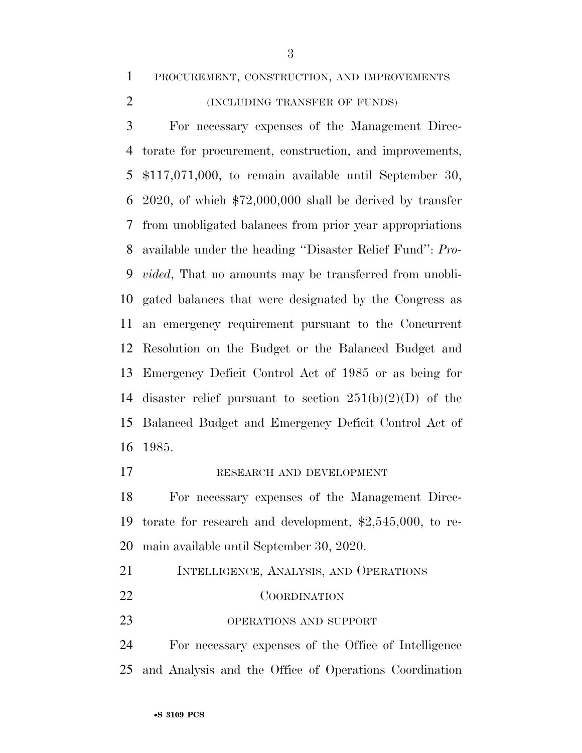PROCUREMENT, CONSTRUCTION, AND IMPROVEMENTS

#### (INCLUDING TRANSFER OF FUNDS)

 For necessary expenses of the Management Direc- torate for procurement, construction, and improvements, \$117,071,000, to remain available until September 30, 2020, of which \$72,000,000 shall be derived by transfer from unobligated balances from prior year appropriations available under the heading ''Disaster Relief Fund'': *Pro- vided*, That no amounts may be transferred from unobli- gated balances that were designated by the Congress as an emergency requirement pursuant to the Concurrent Resolution on the Budget or the Balanced Budget and Emergency Deficit Control Act of 1985 or as being for 14 disaster relief pursuant to section  $251(b)(2)(D)$  of the Balanced Budget and Emergency Deficit Control Act of 1985.

#### RESEARCH AND DEVELOPMENT

 For necessary expenses of the Management Direc- torate for research and development, \$2,545,000, to re-main available until September 30, 2020.

- INTELLIGENCE, ANALYSIS, AND OPERATIONS COORDINATION
- 23 OPERATIONS AND SUPPORT

 For necessary expenses of the Office of Intelligence and Analysis and the Office of Operations Coordination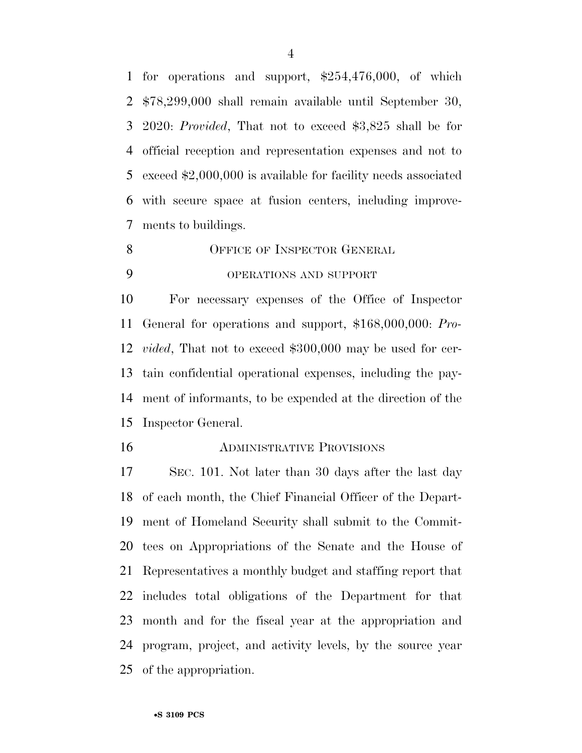for operations and support, \$254,476,000, of which \$78,299,000 shall remain available until September 30, 2020: *Provided*, That not to exceed \$3,825 shall be for official reception and representation expenses and not to exceed \$2,000,000 is available for facility needs associated with secure space at fusion centers, including improve-ments to buildings.

8 OFFICE OF INSPECTOR GENERAL

### OPERATIONS AND SUPPORT

 For necessary expenses of the Office of Inspector General for operations and support, \$168,000,000: *Pro- vided*, That not to exceed \$300,000 may be used for cer- tain confidential operational expenses, including the pay- ment of informants, to be expended at the direction of the Inspector General.

#### ADMINISTRATIVE PROVISIONS

 SEC. 101. Not later than 30 days after the last day of each month, the Chief Financial Officer of the Depart- ment of Homeland Security shall submit to the Commit- tees on Appropriations of the Senate and the House of Representatives a monthly budget and staffing report that includes total obligations of the Department for that month and for the fiscal year at the appropriation and program, project, and activity levels, by the source year of the appropriation.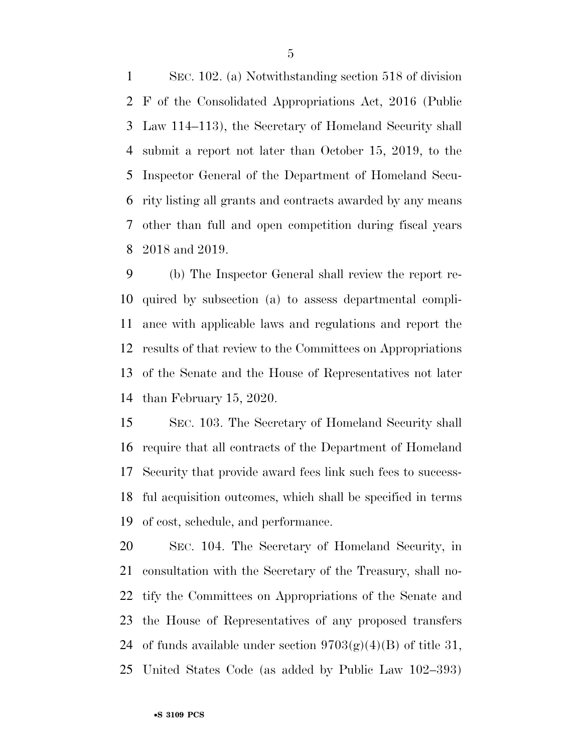SEC. 102. (a) Notwithstanding section 518 of division F of the Consolidated Appropriations Act, 2016 (Public Law 114–113), the Secretary of Homeland Security shall submit a report not later than October 15, 2019, to the Inspector General of the Department of Homeland Secu- rity listing all grants and contracts awarded by any means other than full and open competition during fiscal years 2018 and 2019.

 (b) The Inspector General shall review the report re- quired by subsection (a) to assess departmental compli- ance with applicable laws and regulations and report the results of that review to the Committees on Appropriations of the Senate and the House of Representatives not later than February 15, 2020.

 SEC. 103. The Secretary of Homeland Security shall require that all contracts of the Department of Homeland Security that provide award fees link such fees to success- ful acquisition outcomes, which shall be specified in terms of cost, schedule, and performance.

 SEC. 104. The Secretary of Homeland Security, in consultation with the Secretary of the Treasury, shall no- tify the Committees on Appropriations of the Senate and the House of Representatives of any proposed transfers 24 of funds available under section  $9703(g)(4)(B)$  of title 31, United States Code (as added by Public Law 102–393)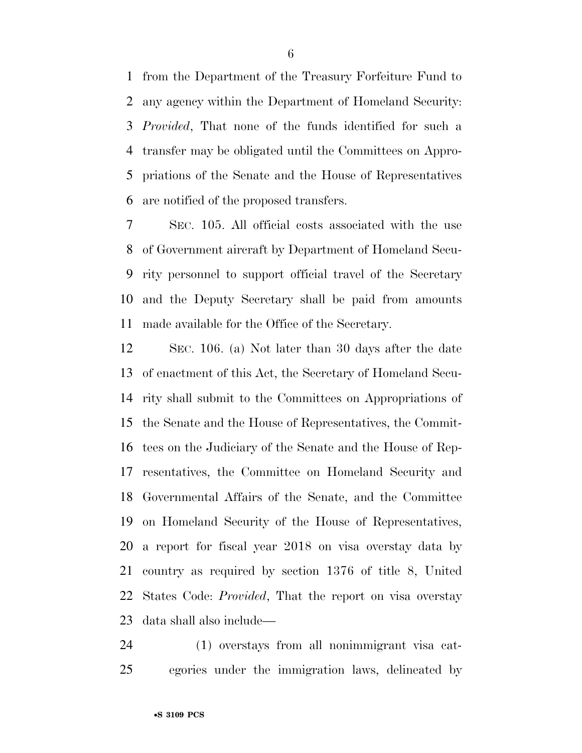from the Department of the Treasury Forfeiture Fund to any agency within the Department of Homeland Security: *Provided*, That none of the funds identified for such a transfer may be obligated until the Committees on Appro- priations of the Senate and the House of Representatives are notified of the proposed transfers.

 SEC. 105. All official costs associated with the use of Government aircraft by Department of Homeland Secu- rity personnel to support official travel of the Secretary and the Deputy Secretary shall be paid from amounts made available for the Office of the Secretary.

 SEC. 106. (a) Not later than 30 days after the date of enactment of this Act, the Secretary of Homeland Secu- rity shall submit to the Committees on Appropriations of the Senate and the House of Representatives, the Commit- tees on the Judiciary of the Senate and the House of Rep- resentatives, the Committee on Homeland Security and Governmental Affairs of the Senate, and the Committee on Homeland Security of the House of Representatives, a report for fiscal year 2018 on visa overstay data by country as required by section 1376 of title 8, United States Code: *Provided*, That the report on visa overstay data shall also include—

 (1) overstays from all nonimmigrant visa cat-egories under the immigration laws, delineated by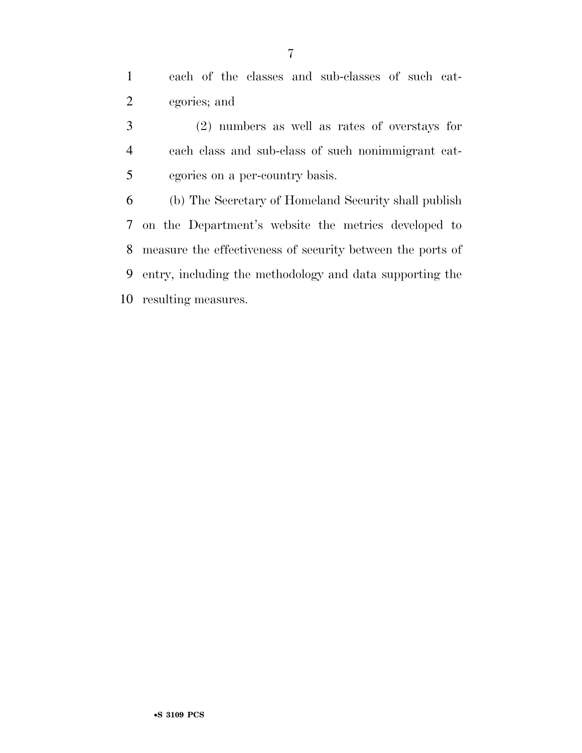each of the classes and sub-classes of such cat-egories; and

 (2) numbers as well as rates of overstays for each class and sub-class of such nonimmigrant cat-egories on a per-country basis.

 (b) The Secretary of Homeland Security shall publish on the Department's website the metrics developed to measure the effectiveness of security between the ports of entry, including the methodology and data supporting the resulting measures.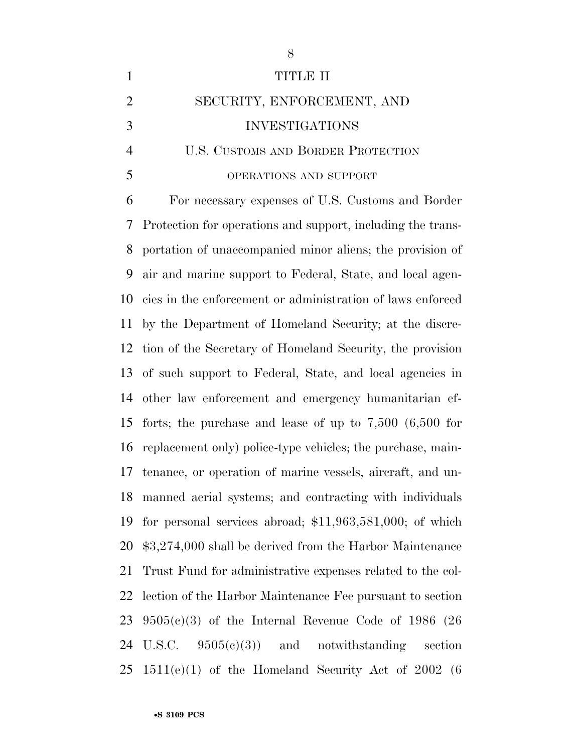| $\mathbf{1}$   | TITLE II                                                       |
|----------------|----------------------------------------------------------------|
| $\overline{2}$ | SECURITY, ENFORCEMENT, AND                                     |
| 3              | <b>INVESTIGATIONS</b>                                          |
| $\overline{4}$ | U.S. CUSTOMS AND BORDER PROTECTION                             |
| 5              | OPERATIONS AND SUPPORT                                         |
| 6              | For necessary expenses of U.S. Customs and Border              |
| 7              | Protection for operations and support, including the trans-    |
| 8              | portation of unaccompanied minor aliens; the provision of      |
| 9              | air and marine support to Federal, State, and local agen-      |
| 10             | cies in the enforcement or administration of laws enforced     |
| 11             | by the Department of Homeland Security; at the discre-         |
| 12             | tion of the Secretary of Homeland Security, the provision      |
| 13             | of such support to Federal, State, and local agencies in       |
| 14             | other law enforcement and emergency humanitarian ef-           |
| 15             | forts; the purchase and lease of up to $7,500$ $(6,500)$ for   |
| 16             | replacement only) police-type vehicles; the purchase, main-    |
| 17             | tenance, or operation of marine vessels, aircraft, and un-     |
| 18             | manned aerial systems; and contracting with individuals        |
| 19             | for personal services abroad; $$11,963,581,000$ ; of which     |
| 20             | \$3,274,000 shall be derived from the Harbor Maintenance       |
| 21             | Trust Fund for administrative expenses related to the col-     |
| 22             | lection of the Harbor Maintenance Fee pursuant to section      |
| 23             | $9505(c)(3)$ of the Internal Revenue Code of 1986 (26)         |
| 24             | U.S.C. $9505(e)(3)$ and notwithstanding<br>section             |
|                | $25 \quad 1511(e)(1)$ of the Homeland Security Act of 2002 (6) |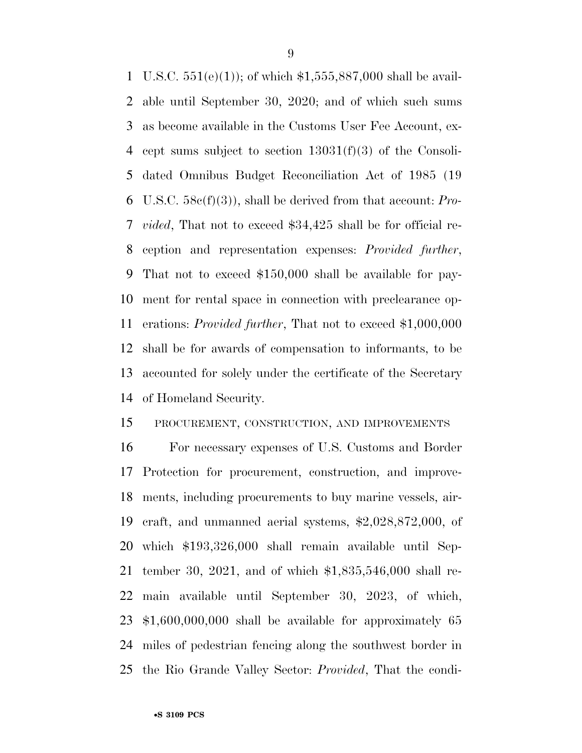U.S.C. 551(e)(1)); of which \$1,555,887,000 shall be avail- able until September 30, 2020; and of which such sums as become available in the Customs User Fee Account, ex- cept sums subject to section 13031(f)(3) of the Consoli- dated Omnibus Budget Reconciliation Act of 1985 (19 U.S.C. 58c(f)(3)), shall be derived from that account: *Pro- vided*, That not to exceed \$34,425 shall be for official re- ception and representation expenses: *Provided further*, That not to exceed \$150,000 shall be available for pay- ment for rental space in connection with preclearance op- erations: *Provided further*, That not to exceed \$1,000,000 shall be for awards of compensation to informants, to be accounted for solely under the certificate of the Secretary of Homeland Security.

#### PROCUREMENT, CONSTRUCTION, AND IMPROVEMENTS

 For necessary expenses of U.S. Customs and Border Protection for procurement, construction, and improve- ments, including procurements to buy marine vessels, air- craft, and unmanned aerial systems, \$2,028,872,000, of which \$193,326,000 shall remain available until Sep- tember 30, 2021, and of which \$1,835,546,000 shall re- main available until September 30, 2023, of which, \$1,600,000,000 shall be available for approximately 65 miles of pedestrian fencing along the southwest border in the Rio Grande Valley Sector: *Provided*, That the condi-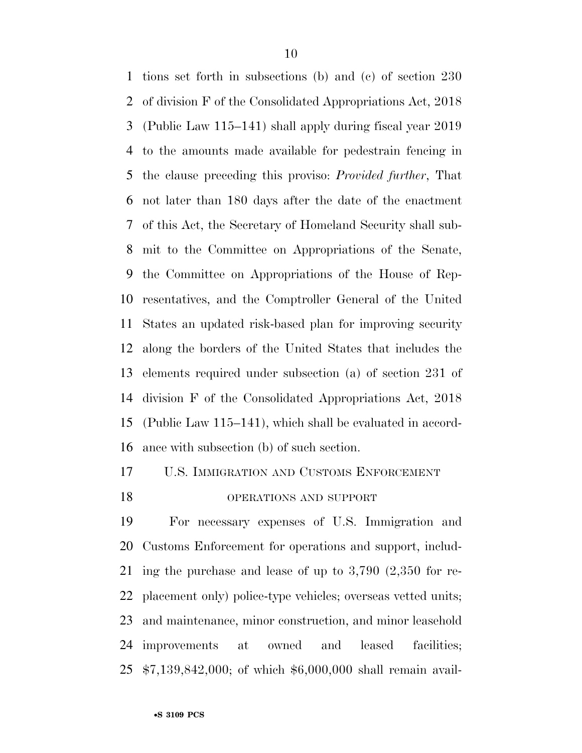tions set forth in subsections (b) and (c) of section 230 of division F of the Consolidated Appropriations Act, 2018 (Public Law 115–141) shall apply during fiscal year 2019 to the amounts made available for pedestrain fencing in the clause preceding this proviso: *Provided further*, That not later than 180 days after the date of the enactment of this Act, the Secretary of Homeland Security shall sub- mit to the Committee on Appropriations of the Senate, the Committee on Appropriations of the House of Rep- resentatives, and the Comptroller General of the United States an updated risk-based plan for improving security along the borders of the United States that includes the elements required under subsection (a) of section 231 of division F of the Consolidated Appropriations Act, 2018 (Public Law 115–141), which shall be evaluated in accord-ance with subsection (b) of such section.

### U.S. IMMIGRATION AND CUSTOMS ENFORCEMENT

#### OPERATIONS AND SUPPORT

 For necessary expenses of U.S. Immigration and Customs Enforcement for operations and support, includ- ing the purchase and lease of up to 3,790 (2,350 for re- placement only) police-type vehicles; overseas vetted units; and maintenance, minor construction, and minor leasehold improvements at owned and leased facilities; \$7,139,842,000; of which \$6,000,000 shall remain avail-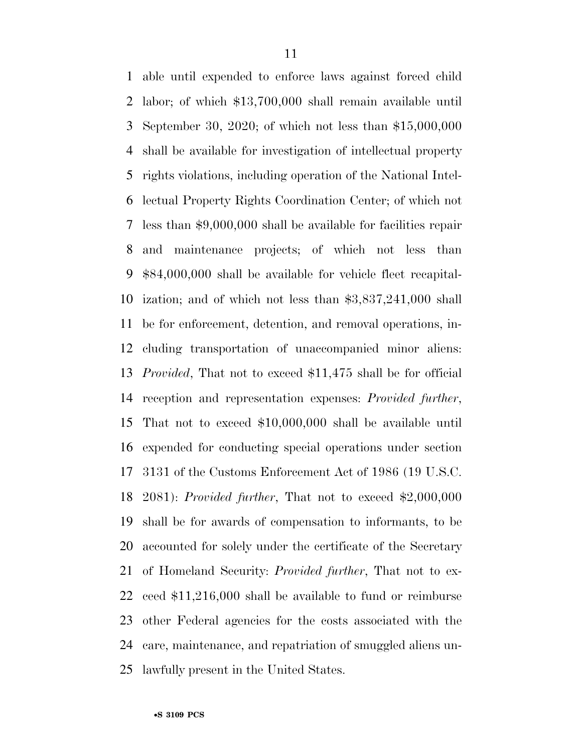able until expended to enforce laws against forced child labor; of which \$13,700,000 shall remain available until September 30, 2020; of which not less than \$15,000,000 shall be available for investigation of intellectual property rights violations, including operation of the National Intel- lectual Property Rights Coordination Center; of which not less than \$9,000,000 shall be available for facilities repair and maintenance projects; of which not less than \$84,000,000 shall be available for vehicle fleet recapital- ization; and of which not less than \$3,837,241,000 shall be for enforcement, detention, and removal operations, in- cluding transportation of unaccompanied minor aliens: *Provided*, That not to exceed \$11,475 shall be for official reception and representation expenses: *Provided further*, That not to exceed \$10,000,000 shall be available until expended for conducting special operations under section 3131 of the Customs Enforcement Act of 1986 (19 U.S.C. 2081): *Provided further*, That not to exceed \$2,000,000 shall be for awards of compensation to informants, to be accounted for solely under the certificate of the Secretary of Homeland Security: *Provided further*, That not to ex- ceed \$11,216,000 shall be available to fund or reimburse other Federal agencies for the costs associated with the care, maintenance, and repatriation of smuggled aliens un-lawfully present in the United States.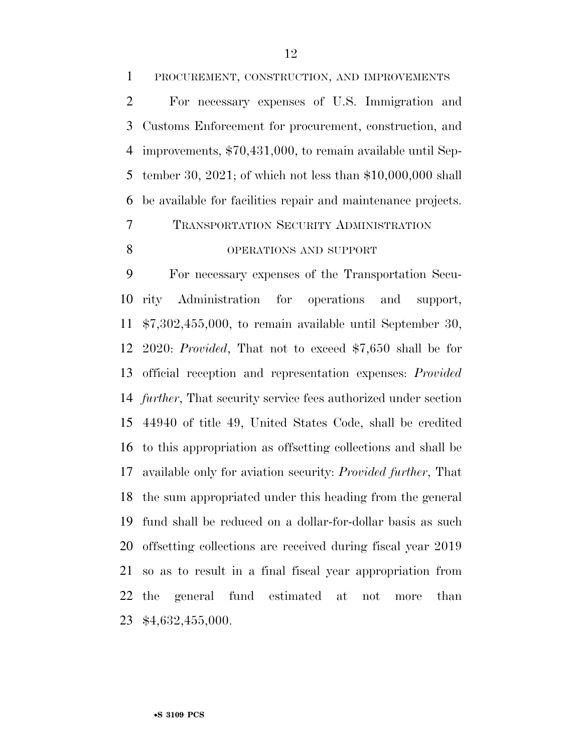be available for facilities repair and maintenance projects. TRANSPORTATION SECURITY ADMINISTRATION

#### 8 OPERATIONS AND SUPPORT

 For necessary expenses of the Transportation Secu- rity Administration for operations and support, \$7,302,455,000, to remain available until September 30, 2020: *Provided*, That not to exceed \$7,650 shall be for official reception and representation expenses: *Provided further*, That security service fees authorized under section 44940 of title 49, United States Code, shall be credited to this appropriation as offsetting collections and shall be available only for aviation security: *Provided further*, That the sum appropriated under this heading from the general fund shall be reduced on a dollar-for-dollar basis as such offsetting collections are received during fiscal year 2019 so as to result in a final fiscal year appropriation from the general fund estimated at not more than \$4,632,455,000.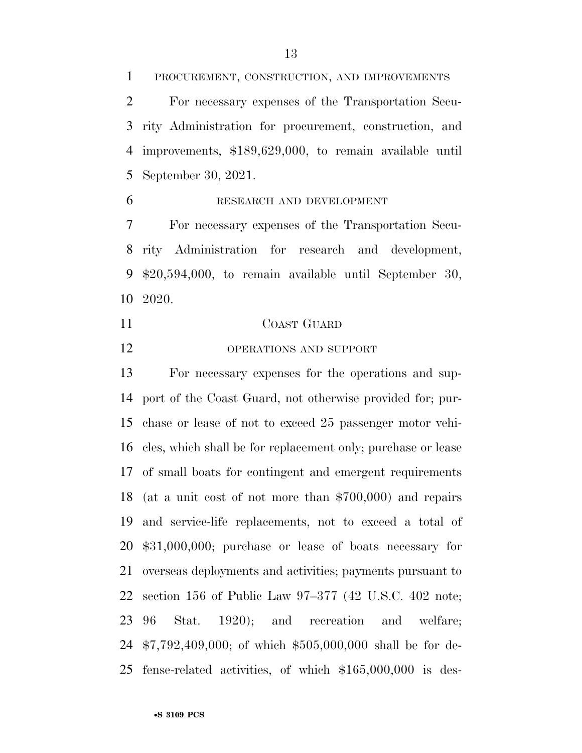PROCUREMENT, CONSTRUCTION, AND IMPROVEMENTS

 For necessary expenses of the Transportation Secu- rity Administration for procurement, construction, and improvements, \$189,629,000, to remain available until September 30, 2021.

#### RESEARCH AND DEVELOPMENT

 For necessary expenses of the Transportation Secu- rity Administration for research and development, \$20,594,000, to remain available until September 30, 2020.

- COAST GUARD
- OPERATIONS AND SUPPORT

 For necessary expenses for the operations and sup- port of the Coast Guard, not otherwise provided for; pur- chase or lease of not to exceed 25 passenger motor vehi- cles, which shall be for replacement only; purchase or lease of small boats for contingent and emergent requirements (at a unit cost of not more than \$700,000) and repairs and service-life replacements, not to exceed a total of \$31,000,000; purchase or lease of boats necessary for overseas deployments and activities; payments pursuant to section 156 of Public Law 97–377 (42 U.S.C. 402 note; 96 Stat. 1920); and recreation and welfare; \$7,792,409,000; of which \$505,000,000 shall be for de-fense-related activities, of which \$165,000,000 is des-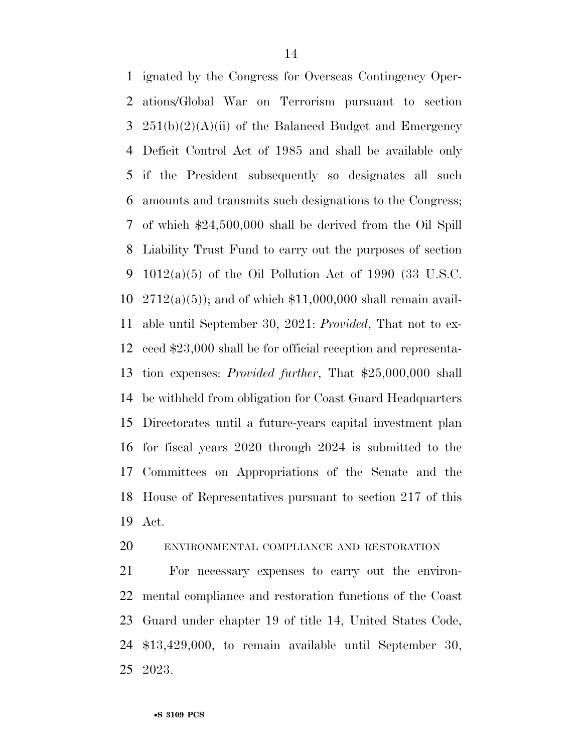ignated by the Congress for Overseas Contingency Oper- ations/Global War on Terrorism pursuant to section  $251(b)(2)(A)(ii)$  of the Balanced Budget and Emergency Deficit Control Act of 1985 and shall be available only if the President subsequently so designates all such amounts and transmits such designations to the Congress; of which \$24,500,000 shall be derived from the Oil Spill Liability Trust Fund to carry out the purposes of section 1012(a)(5) of the Oil Pollution Act of 1990 (33 U.S.C.  $2712(a)(5)$ ; and of which \$11,000,000 shall remain avail- able until September 30, 2021: *Provided*, That not to ex- ceed \$23,000 shall be for official reception and representa- tion expenses: *Provided further*, That \$25,000,000 shall be withheld from obligation for Coast Guard Headquarters Directorates until a future-years capital investment plan for fiscal years 2020 through 2024 is submitted to the Committees on Appropriations of the Senate and the House of Representatives pursuant to section 217 of this Act.

#### ENVIRONMENTAL COMPLIANCE AND RESTORATION

 For necessary expenses to carry out the environ- mental compliance and restoration functions of the Coast Guard under chapter 19 of title 14, United States Code, \$13,429,000, to remain available until September 30, 2023.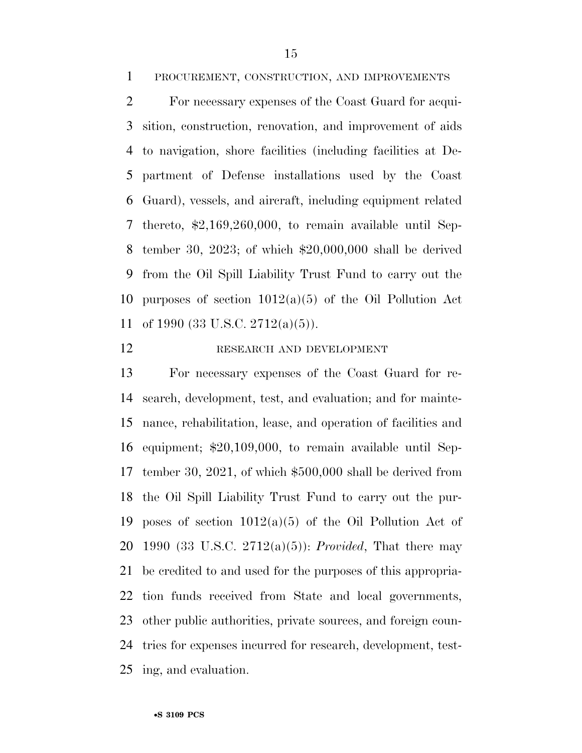PROCUREMENT, CONSTRUCTION, AND IMPROVEMENTS

 For necessary expenses of the Coast Guard for acqui- sition, construction, renovation, and improvement of aids to navigation, shore facilities (including facilities at De- partment of Defense installations used by the Coast Guard), vessels, and aircraft, including equipment related thereto, \$2,169,260,000, to remain available until Sep- tember 30, 2023; of which \$20,000,000 shall be derived from the Oil Spill Liability Trust Fund to carry out the 10 purposes of section  $1012(a)(5)$  of the Oil Pollution Act of 1990 (33 U.S.C. 2712(a)(5)).

#### RESEARCH AND DEVELOPMENT

 For necessary expenses of the Coast Guard for re- search, development, test, and evaluation; and for mainte- nance, rehabilitation, lease, and operation of facilities and equipment; \$20,109,000, to remain available until Sep- tember 30, 2021, of which \$500,000 shall be derived from the Oil Spill Liability Trust Fund to carry out the pur-19 poses of section  $1012(a)(5)$  of the Oil Pollution Act of 1990 (33 U.S.C. 2712(a)(5)): *Provided*, That there may be credited to and used for the purposes of this appropria- tion funds received from State and local governments, other public authorities, private sources, and foreign coun- tries for expenses incurred for research, development, test-ing, and evaluation.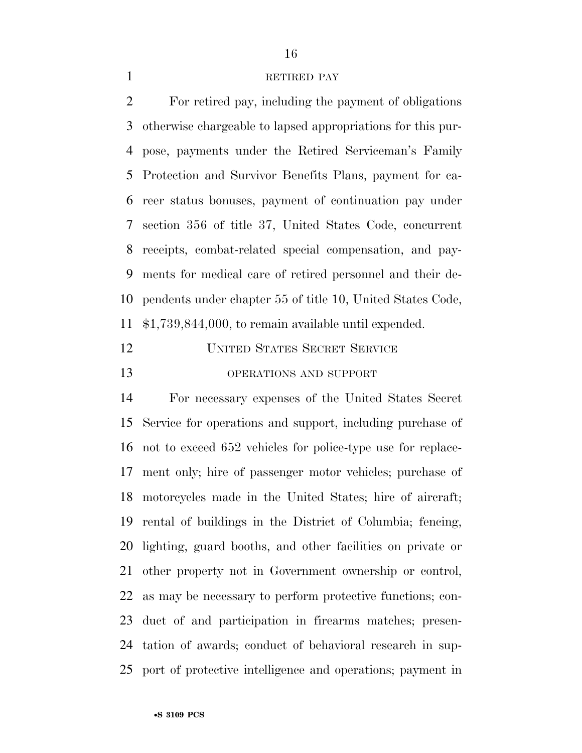#### 1 RETIRED PAY

 For retired pay, including the payment of obligations otherwise chargeable to lapsed appropriations for this pur- pose, payments under the Retired Serviceman's Family Protection and Survivor Benefits Plans, payment for ca- reer status bonuses, payment of continuation pay under section 356 of title 37, United States Code, concurrent receipts, combat-related special compensation, and pay- ments for medical care of retired personnel and their de- pendents under chapter 55 of title 10, United States Code, \$1,739,844,000, to remain available until expended.

| 12 | <b>UNITED STATES SECRET SERVICE</b> |
|----|-------------------------------------|
| 13 | OPERATIONS AND SUPPORT              |

 For necessary expenses of the United States Secret Service for operations and support, including purchase of not to exceed 652 vehicles for police-type use for replace- ment only; hire of passenger motor vehicles; purchase of motorcycles made in the United States; hire of aircraft; rental of buildings in the District of Columbia; fencing, lighting, guard booths, and other facilities on private or other property not in Government ownership or control, as may be necessary to perform protective functions; con- duct of and participation in firearms matches; presen- tation of awards; conduct of behavioral research in sup-port of protective intelligence and operations; payment in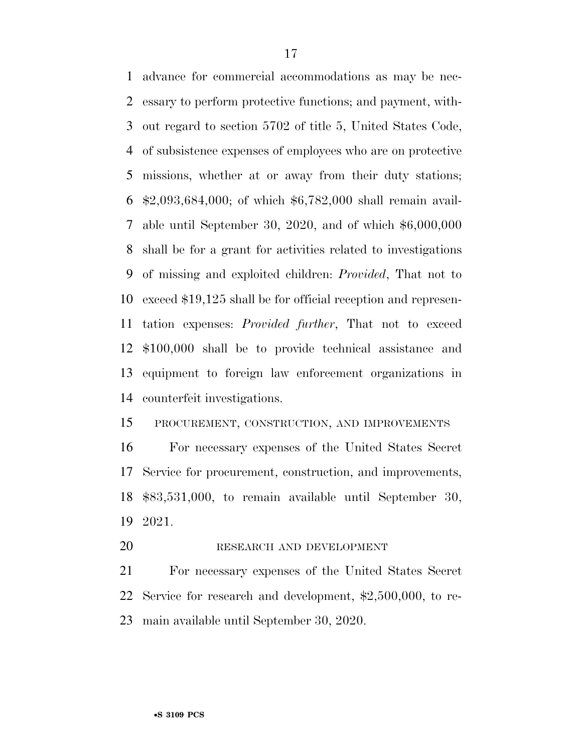advance for commercial accommodations as may be nec- essary to perform protective functions; and payment, with- out regard to section 5702 of title 5, United States Code, of subsistence expenses of employees who are on protective missions, whether at or away from their duty stations; \$2,093,684,000; of which \$6,782,000 shall remain avail- able until September 30, 2020, and of which \$6,000,000 shall be for a grant for activities related to investigations of missing and exploited children: *Provided*, That not to exceed \$19,125 shall be for official reception and represen- tation expenses: *Provided further*, That not to exceed \$100,000 shall be to provide technical assistance and equipment to foreign law enforcement organizations in counterfeit investigations.

#### PROCUREMENT, CONSTRUCTION, AND IMPROVEMENTS

 For necessary expenses of the United States Secret Service for procurement, construction, and improvements, \$83,531,000, to remain available until September 30, 2021.

RESEARCH AND DEVELOPMENT

 For necessary expenses of the United States Secret Service for research and development, \$2,500,000, to re-main available until September 30, 2020.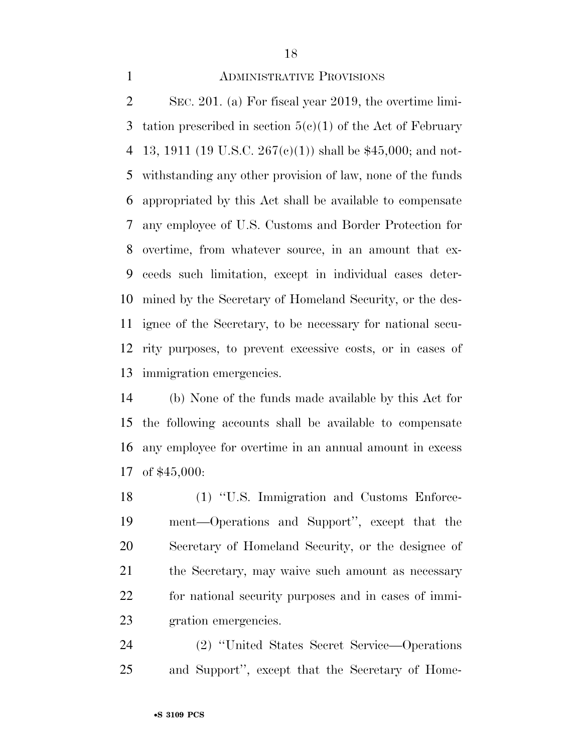#### ADMINISTRATIVE PROVISIONS

 SEC. 201. (a) For fiscal year 2019, the overtime limi-3 tation prescribed in section  $5(e)(1)$  of the Act of February 4 13, 1911 (19 U.S.C. 267(c)(1)) shall be \$45,000; and not- withstanding any other provision of law, none of the funds appropriated by this Act shall be available to compensate any employee of U.S. Customs and Border Protection for overtime, from whatever source, in an amount that ex- ceeds such limitation, except in individual cases deter- mined by the Secretary of Homeland Security, or the des- ignee of the Secretary, to be necessary for national secu- rity purposes, to prevent excessive costs, or in cases of immigration emergencies.

 (b) None of the funds made available by this Act for the following accounts shall be available to compensate any employee for overtime in an annual amount in excess of \$45,000:

 (1) ''U.S. Immigration and Customs Enforce- ment—Operations and Support'', except that the Secretary of Homeland Security, or the designee of the Secretary, may waive such amount as necessary for national security purposes and in cases of immi-gration emergencies.

 (2) ''United States Secret Service—Operations and Support'', except that the Secretary of Home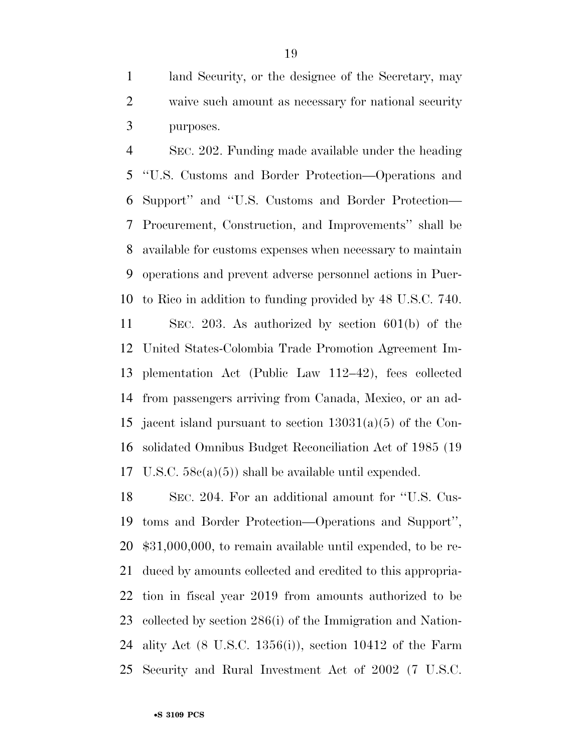land Security, or the designee of the Secretary, may waive such amount as necessary for national security purposes.

 SEC. 202. Funding made available under the heading ''U.S. Customs and Border Protection—Operations and Support'' and ''U.S. Customs and Border Protection— Procurement, Construction, and Improvements'' shall be available for customs expenses when necessary to maintain operations and prevent adverse personnel actions in Puer- to Rico in addition to funding provided by 48 U.S.C. 740. SEC. 203. As authorized by section 601(b) of the United States-Colombia Trade Promotion Agreement Im- plementation Act (Public Law 112–42), fees collected from passengers arriving from Canada, Mexico, or an ad- jacent island pursuant to section 13031(a)(5) of the Con- solidated Omnibus Budget Reconciliation Act of 1985 (19 U.S.C. 58c(a)(5)) shall be available until expended.

 SEC. 204. For an additional amount for ''U.S. Cus- toms and Border Protection—Operations and Support'', \$31,000,000, to remain available until expended, to be re- duced by amounts collected and credited to this appropria- tion in fiscal year 2019 from amounts authorized to be collected by section 286(i) of the Immigration and Nation- ality Act (8 U.S.C. 1356(i)), section 10412 of the Farm Security and Rural Investment Act of 2002 (7 U.S.C.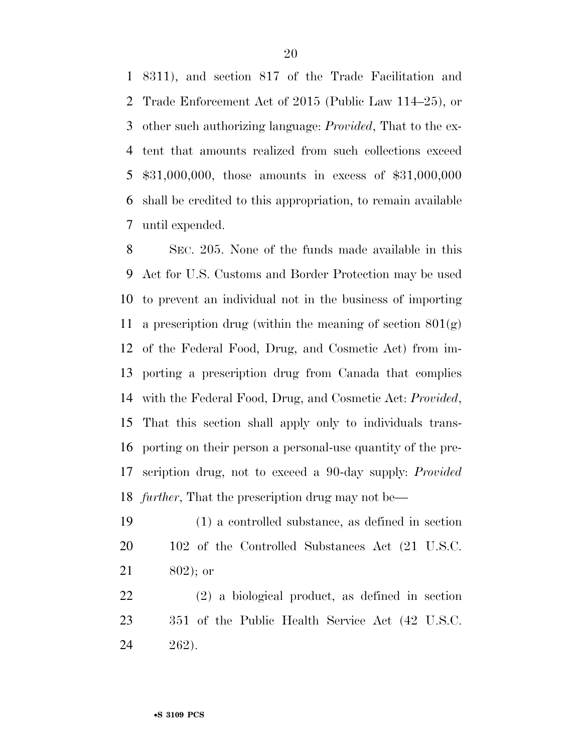8311), and section 817 of the Trade Facilitation and Trade Enforcement Act of 2015 (Public Law 114–25), or other such authorizing language: *Provided*, That to the ex- tent that amounts realized from such collections exceed \$31,000,000, those amounts in excess of \$31,000,000 shall be credited to this appropriation, to remain available until expended.

 SEC. 205. None of the funds made available in this Act for U.S. Customs and Border Protection may be used to prevent an individual not in the business of importing 11 a prescription drug (within the meaning of section  $801(g)$ ) of the Federal Food, Drug, and Cosmetic Act) from im- porting a prescription drug from Canada that complies with the Federal Food, Drug, and Cosmetic Act: *Provided*, That this section shall apply only to individuals trans- porting on their person a personal-use quantity of the pre- scription drug, not to exceed a 90-day supply: *Provided further*, That the prescription drug may not be—

 (1) a controlled substance, as defined in section 20 102 of the Controlled Substances Act (21 U.S.C. 802); or

 (2) a biological product, as defined in section 351 of the Public Health Service Act (42 U.S.C. 262).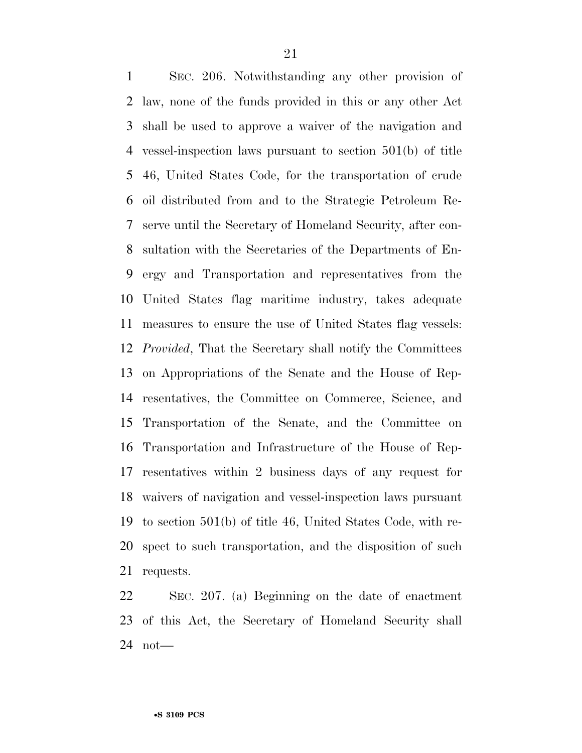SEC. 206. Notwithstanding any other provision of law, none of the funds provided in this or any other Act shall be used to approve a waiver of the navigation and vessel-inspection laws pursuant to section 501(b) of title 46, United States Code, for the transportation of crude oil distributed from and to the Strategic Petroleum Re- serve until the Secretary of Homeland Security, after con- sultation with the Secretaries of the Departments of En- ergy and Transportation and representatives from the United States flag maritime industry, takes adequate measures to ensure the use of United States flag vessels: *Provided*, That the Secretary shall notify the Committees on Appropriations of the Senate and the House of Rep- resentatives, the Committee on Commerce, Science, and Transportation of the Senate, and the Committee on Transportation and Infrastructure of the House of Rep- resentatives within 2 business days of any request for waivers of navigation and vessel-inspection laws pursuant to section 501(b) of title 46, United States Code, with re- spect to such transportation, and the disposition of such requests.

 SEC. 207. (a) Beginning on the date of enactment of this Act, the Secretary of Homeland Security shall not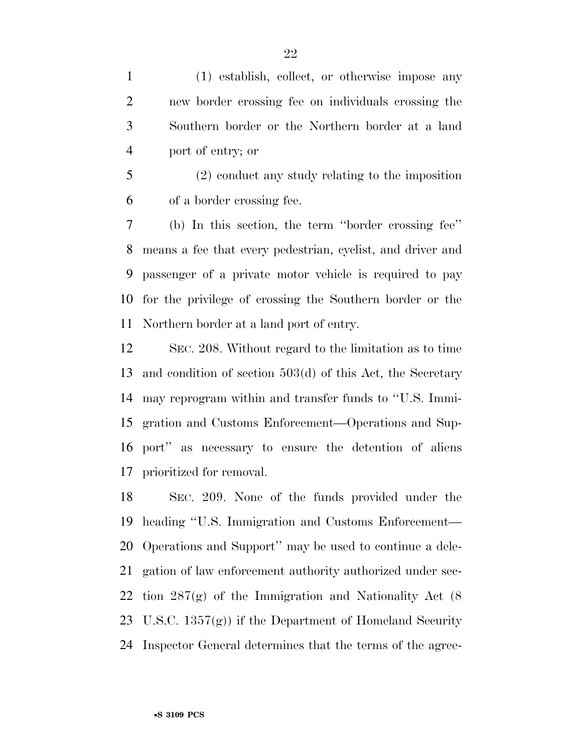(1) establish, collect, or otherwise impose any new border crossing fee on individuals crossing the Southern border or the Northern border at a land port of entry; or

 (2) conduct any study relating to the imposition of a border crossing fee.

 (b) In this section, the term ''border crossing fee'' means a fee that every pedestrian, cyclist, and driver and passenger of a private motor vehicle is required to pay for the privilege of crossing the Southern border or the Northern border at a land port of entry.

 SEC. 208. Without regard to the limitation as to time and condition of section 503(d) of this Act, the Secretary may reprogram within and transfer funds to ''U.S. Immi- gration and Customs Enforcement—Operations and Sup- port'' as necessary to ensure the detention of aliens prioritized for removal.

 SEC. 209. None of the funds provided under the heading ''U.S. Immigration and Customs Enforcement— Operations and Support'' may be used to continue a dele- gation of law enforcement authority authorized under sec- tion 287(g) of the Immigration and Nationality Act (8 U.S.C. 1357(g)) if the Department of Homeland Security Inspector General determines that the terms of the agree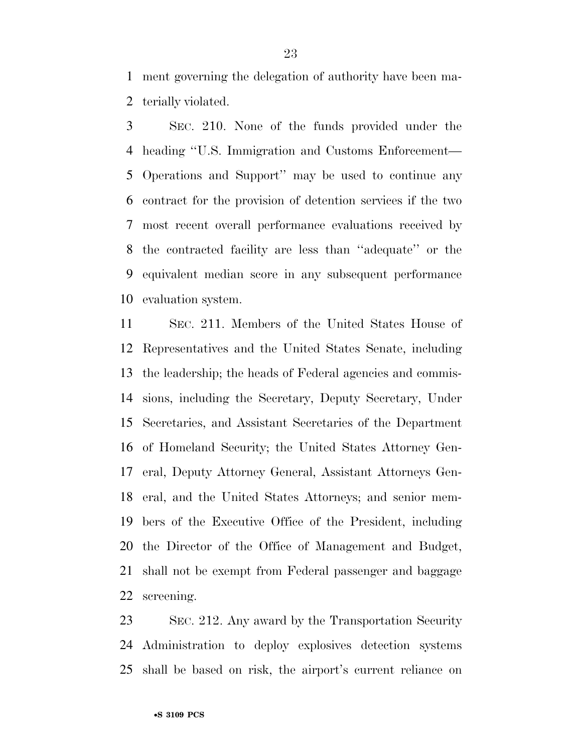ment governing the delegation of authority have been ma-terially violated.

 SEC. 210. None of the funds provided under the heading ''U.S. Immigration and Customs Enforcement— Operations and Support'' may be used to continue any contract for the provision of detention services if the two most recent overall performance evaluations received by the contracted facility are less than ''adequate'' or the equivalent median score in any subsequent performance evaluation system.

 SEC. 211. Members of the United States House of Representatives and the United States Senate, including the leadership; the heads of Federal agencies and commis- sions, including the Secretary, Deputy Secretary, Under Secretaries, and Assistant Secretaries of the Department of Homeland Security; the United States Attorney Gen- eral, Deputy Attorney General, Assistant Attorneys Gen- eral, and the United States Attorneys; and senior mem- bers of the Executive Office of the President, including the Director of the Office of Management and Budget, shall not be exempt from Federal passenger and baggage screening.

 SEC. 212. Any award by the Transportation Security Administration to deploy explosives detection systems shall be based on risk, the airport's current reliance on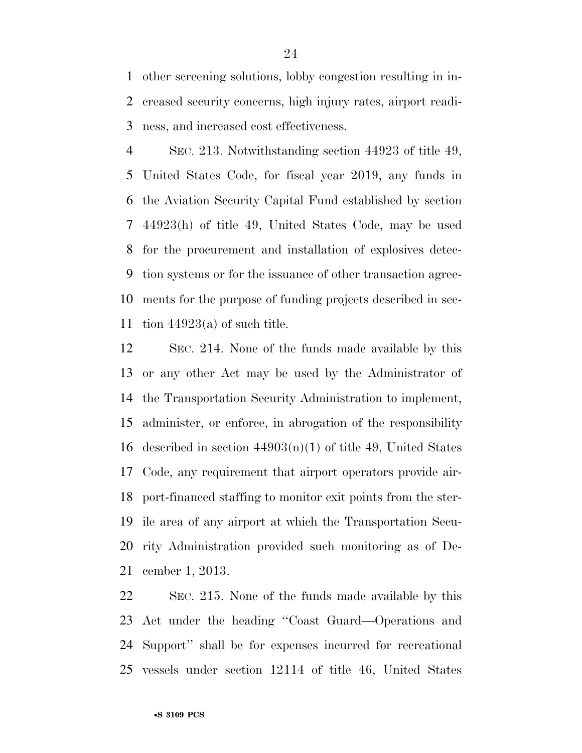other screening solutions, lobby congestion resulting in in- creased security concerns, high injury rates, airport readi-ness, and increased cost effectiveness.

 SEC. 213. Notwithstanding section 44923 of title 49, United States Code, for fiscal year 2019, any funds in the Aviation Security Capital Fund established by section 44923(h) of title 49, United States Code, may be used for the procurement and installation of explosives detec- tion systems or for the issuance of other transaction agree- ments for the purpose of funding projects described in sec-11 tion  $44923(a)$  of such title.

 SEC. 214. None of the funds made available by this or any other Act may be used by the Administrator of the Transportation Security Administration to implement, administer, or enforce, in abrogation of the responsibility 16 described in section  $44903(n)(1)$  of title 49, United States Code, any requirement that airport operators provide air- port-financed staffing to monitor exit points from the ster- ile area of any airport at which the Transportation Secu- rity Administration provided such monitoring as of De-cember 1, 2013.

 SEC. 215. None of the funds made available by this Act under the heading ''Coast Guard—Operations and Support'' shall be for expenses incurred for recreational vessels under section 12114 of title 46, United States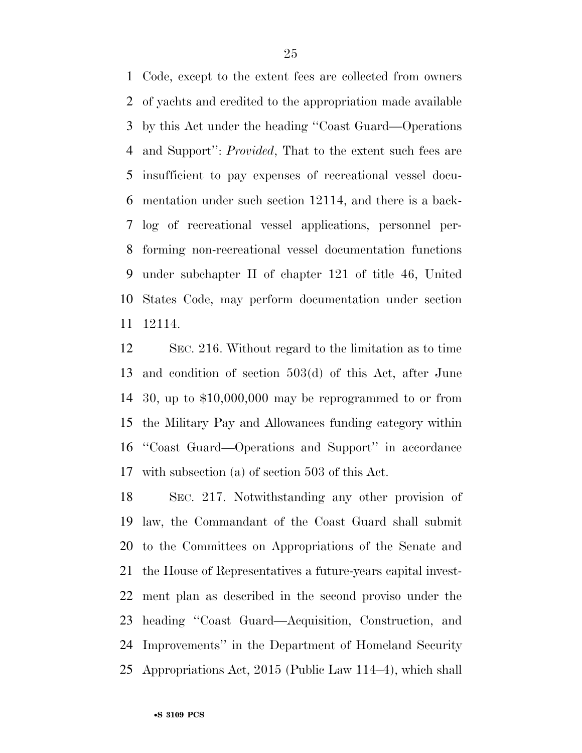Code, except to the extent fees are collected from owners of yachts and credited to the appropriation made available by this Act under the heading ''Coast Guard—Operations and Support'': *Provided*, That to the extent such fees are insufficient to pay expenses of recreational vessel docu- mentation under such section 12114, and there is a back- log of recreational vessel applications, personnel per- forming non-recreational vessel documentation functions under subchapter II of chapter 121 of title 46, United States Code, may perform documentation under section 12114.

 SEC. 216. Without regard to the limitation as to time and condition of section 503(d) of this Act, after June 30, up to \$10,000,000 may be reprogrammed to or from the Military Pay and Allowances funding category within ''Coast Guard—Operations and Support'' in accordance with subsection (a) of section 503 of this Act.

 SEC. 217. Notwithstanding any other provision of law, the Commandant of the Coast Guard shall submit to the Committees on Appropriations of the Senate and the House of Representatives a future-years capital invest- ment plan as described in the second proviso under the heading ''Coast Guard—Acquisition, Construction, and Improvements'' in the Department of Homeland Security Appropriations Act, 2015 (Public Law 114–4), which shall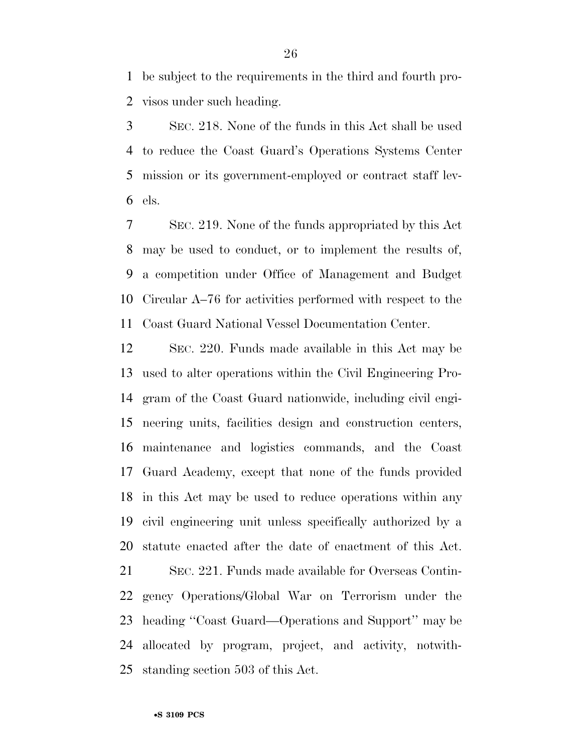be subject to the requirements in the third and fourth pro-visos under such heading.

 SEC. 218. None of the funds in this Act shall be used to reduce the Coast Guard's Operations Systems Center mission or its government-employed or contract staff lev-els.

 SEC. 219. None of the funds appropriated by this Act may be used to conduct, or to implement the results of, a competition under Office of Management and Budget Circular A–76 for activities performed with respect to the Coast Guard National Vessel Documentation Center.

 SEC. 220. Funds made available in this Act may be used to alter operations within the Civil Engineering Pro- gram of the Coast Guard nationwide, including civil engi- neering units, facilities design and construction centers, maintenance and logistics commands, and the Coast Guard Academy, except that none of the funds provided in this Act may be used to reduce operations within any civil engineering unit unless specifically authorized by a statute enacted after the date of enactment of this Act.

 SEC. 221. Funds made available for Overseas Contin- gency Operations/Global War on Terrorism under the heading ''Coast Guard—Operations and Support'' may be allocated by program, project, and activity, notwith-standing section 503 of this Act.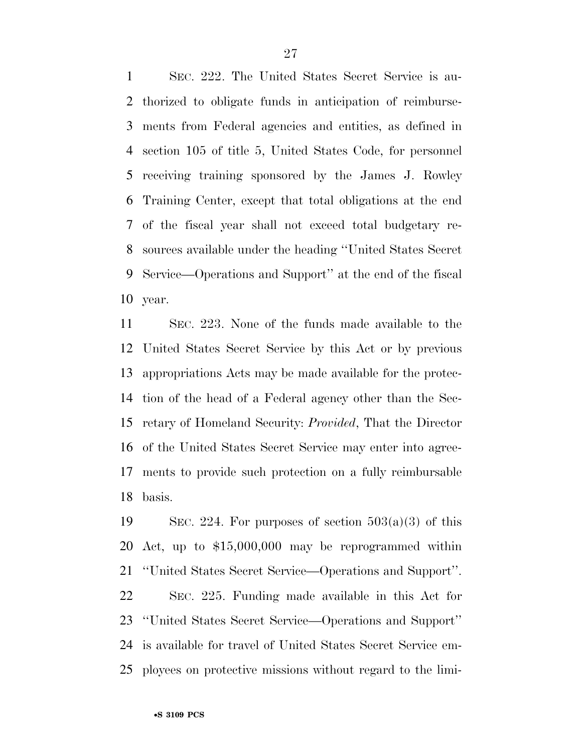SEC. 222. The United States Secret Service is au- thorized to obligate funds in anticipation of reimburse- ments from Federal agencies and entities, as defined in section 105 of title 5, United States Code, for personnel receiving training sponsored by the James J. Rowley Training Center, except that total obligations at the end of the fiscal year shall not exceed total budgetary re- sources available under the heading ''United States Secret Service—Operations and Support'' at the end of the fiscal year.

 SEC. 223. None of the funds made available to the United States Secret Service by this Act or by previous appropriations Acts may be made available for the protec- tion of the head of a Federal agency other than the Sec- retary of Homeland Security: *Provided*, That the Director of the United States Secret Service may enter into agree- ments to provide such protection on a fully reimbursable basis.

19 SEC. 224. For purposes of section  $503(a)(3)$  of this Act, up to \$15,000,000 may be reprogrammed within ''United States Secret Service—Operations and Support''. SEC. 225. Funding made available in this Act for ''United States Secret Service—Operations and Support'' is available for travel of United States Secret Service em-ployees on protective missions without regard to the limi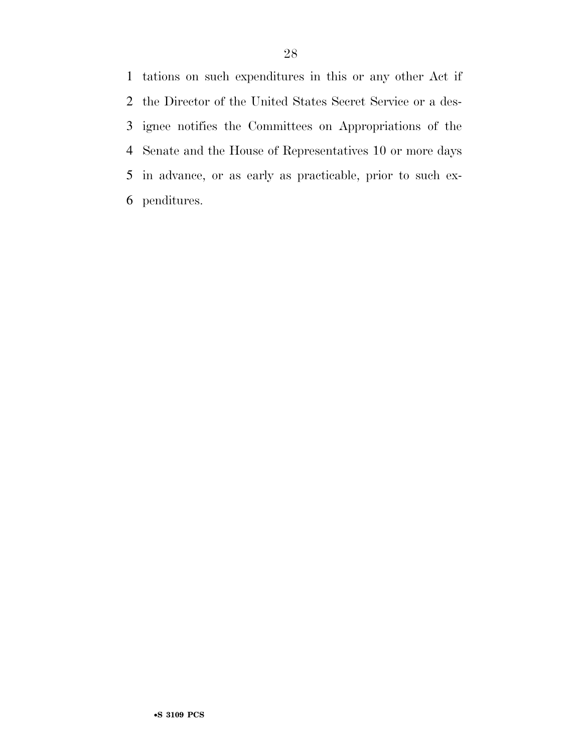tations on such expenditures in this or any other Act if the Director of the United States Secret Service or a des- ignee notifies the Committees on Appropriations of the Senate and the House of Representatives 10 or more days in advance, or as early as practicable, prior to such ex-penditures.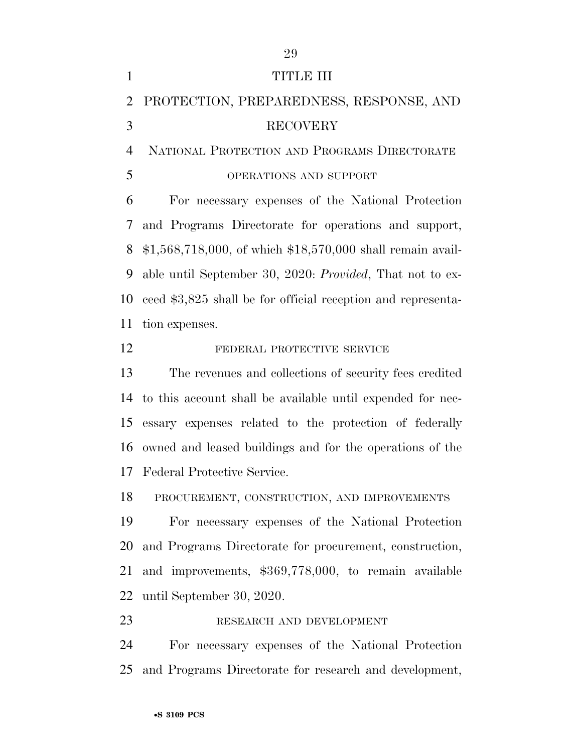| $\mathbf{1}$   | <b>TITLE III</b>                                             |
|----------------|--------------------------------------------------------------|
| $\overline{2}$ | PROTECTION, PREPAREDNESS, RESPONSE, AND                      |
| 3              | <b>RECOVERY</b>                                              |
| $\overline{4}$ | NATIONAL PROTECTION AND PROGRAMS DIRECTORATE                 |
| 5              | OPERATIONS AND SUPPORT                                       |
| 6              | For necessary expenses of the National Protection            |
| 7              | and Programs Directorate for operations and support,         |
| 8              | $$1,568,718,000,$ of which $$18,570,000$ shall remain avail- |
| 9              | able until September 30, 2020: Provided, That not to ex-     |
| 10             | ceed \$3,825 shall be for official reception and representa- |
| 11             | tion expenses.                                               |
| 12             | FEDERAL PROTECTIVE SERVICE                                   |
| 13             | The revenues and collections of security fees credited       |
| 14             | to this account shall be available until expended for nec-   |
| 15             | essary expenses related to the protection of federally       |
|                | 16 owned and leased buildings and for the operations of the  |
| 17             | Federal Protective Service.                                  |
| 18             | PROCUREMENT, CONSTRUCTION, AND IMPROVEMENTS                  |
| 19             | For necessary expenses of the National Protection            |
| 20             | and Programs Directorate for procurement, construction,      |
| 21             | and improvements, \$369,778,000, to remain available         |
| 22             | until September 30, 2020.                                    |
| 23             | RESEARCH AND DEVELOPMENT                                     |
| 24             | For necessary expenses of the National Protection            |

and Programs Directorate for research and development,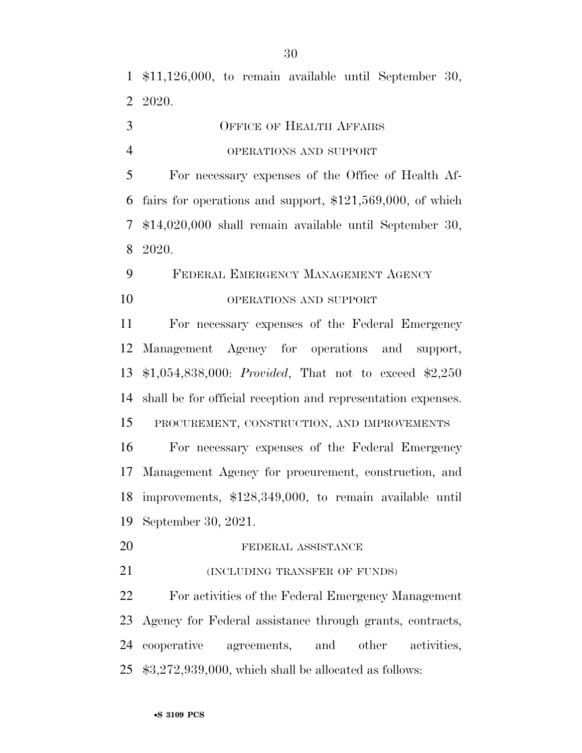\$11,126,000, to remain available until September 30, 2020.

OFFICE OF HEALTH AFFAIRS

#### OPERATIONS AND SUPPORT

 For necessary expenses of the Office of Health Af- fairs for operations and support, \$121,569,000, of which \$14,020,000 shall remain available until September 30, 2020.

### FEDERAL EMERGENCY MANAGEMENT AGENCY 10 OPERATIONS AND SUPPORT

 For necessary expenses of the Federal Emergency Management Agency for operations and support, \$1,054,838,000: *Provided*, That not to exceed \$2,250 shall be for official reception and representation expenses.

PROCUREMENT, CONSTRUCTION, AND IMPROVEMENTS

 For necessary expenses of the Federal Emergency Management Agency for procurement, construction, and improvements, \$128,349,000, to remain available until September 30, 2021.

- 20 FEDERAL ASSISTANCE
- 21 (INCLUDING TRANSFER OF FUNDS)

 For activities of the Federal Emergency Management Agency for Federal assistance through grants, contracts, cooperative agreements, and other activities, \$3,272,939,000, which shall be allocated as follows: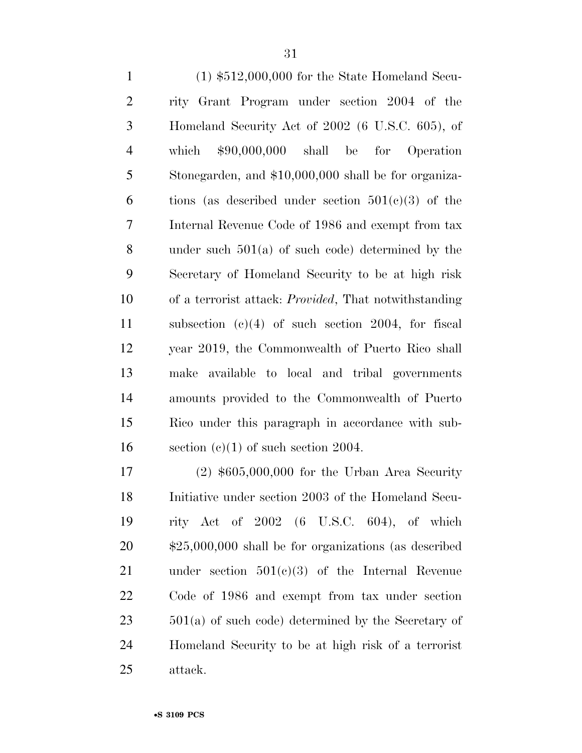(1) \$512,000,000 for the State Homeland Secu- rity Grant Program under section 2004 of the Homeland Security Act of 2002 (6 U.S.C. 605), of which \$90,000,000 shall be for Operation Stonegarden, and \$10,000,000 shall be for organiza-6 tions (as described under section  $501(c)(3)$  of the Internal Revenue Code of 1986 and exempt from tax under such 501(a) of such code) determined by the Secretary of Homeland Security to be at high risk of a terrorist attack: *Provided*, That notwithstanding subsection (c)(4) of such section 2004, for fiscal year 2019, the Commonwealth of Puerto Rico shall make available to local and tribal governments amounts provided to the Commonwealth of Puerto Rico under this paragraph in accordance with sub-16 section  $(c)(1)$  of such section 2004.

 (2) \$605,000,000 for the Urban Area Security Initiative under section 2003 of the Homeland Secu- rity Act of 2002 (6 U.S.C. 604), of which \$25,000,000 shall be for organizations (as described under section 501(c)(3) of the Internal Revenue Code of 1986 and exempt from tax under section 501(a) of such code) determined by the Secretary of Homeland Security to be at high risk of a terrorist attack.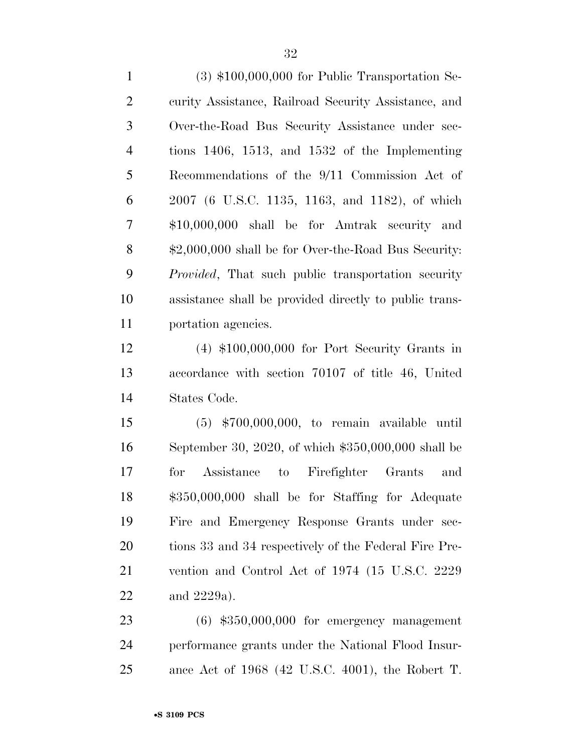(3) \$100,000,000 for Public Transportation Se- curity Assistance, Railroad Security Assistance, and Over-the-Road Bus Security Assistance under sec- tions 1406, 1513, and 1532 of the Implementing Recommendations of the 9/11 Commission Act of 2007 (6 U.S.C. 1135, 1163, and 1182), of which \$10,000,000 shall be for Amtrak security and \$2,000,000 shall be for Over-the-Road Bus Security: *Provided*, That such public transportation security assistance shall be provided directly to public trans-portation agencies.

 (4) \$100,000,000 for Port Security Grants in accordance with section 70107 of title 46, United States Code.

 (5) \$700,000,000, to remain available until September 30, 2020, of which \$350,000,000 shall be for Assistance to Firefighter Grants and \$350,000,000 shall be for Staffing for Adequate Fire and Emergency Response Grants under sec- tions 33 and 34 respectively of the Federal Fire Pre- vention and Control Act of 1974 (15 U.S.C. 2229 and 2229a).

 (6) \$350,000,000 for emergency management performance grants under the National Flood Insur-ance Act of 1968 (42 U.S.C. 4001), the Robert T.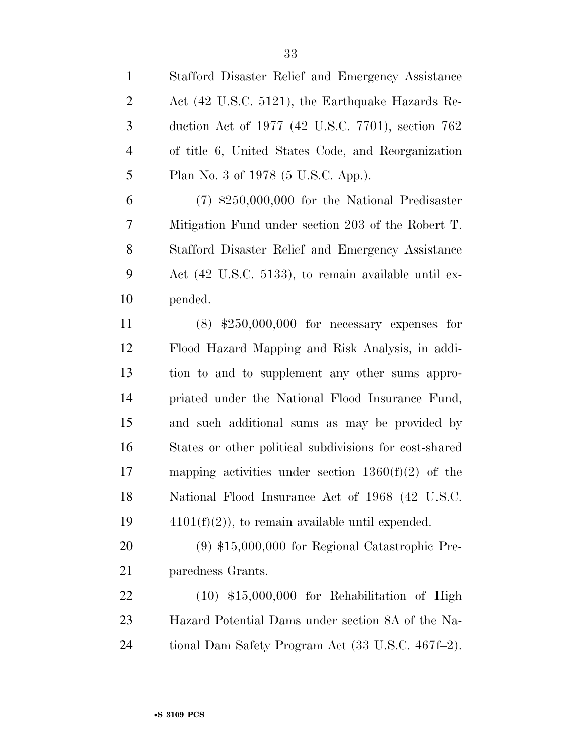| $\mathbf{1}$   | Stafford Disaster Relief and Emergency Assistance      |
|----------------|--------------------------------------------------------|
| $\overline{2}$ | Act (42 U.S.C. 5121), the Earthquake Hazards Re-       |
| 3              | duction Act of 1977 (42 U.S.C. 7701), section 762      |
| $\overline{4}$ | of title 6, United States Code, and Reorganization     |
| 5              | Plan No. 3 of 1978 (5 U.S.C. App.).                    |
| 6              | $(7)$ \$250,000,000 for the National Predisaster       |
| 7              | Mitigation Fund under section 203 of the Robert T.     |
| 8              | Stafford Disaster Relief and Emergency Assistance      |
| 9              | Act (42 U.S.C. 5133), to remain available until ex-    |
| 10             | pended.                                                |
| 11             | $(8)$ \$250,000,000 for necessary expenses for         |
| 12             | Flood Hazard Mapping and Risk Analysis, in addi-       |
| 13             | tion to and to supplement any other sums appro-        |
| 14             | priated under the National Flood Insurance Fund,       |
| 15             | and such additional sums as may be provided by         |
| 16             | States or other political subdivisions for cost-shared |
| 17             | mapping activities under section $1360(f)(2)$ of the   |
| 18             | National Flood Insurance Act of 1968 (42 U.S.C.        |
| 19             | $4101(f)(2)$ , to remain available until expended.     |
| 20             | $(9)$ \$15,000,000 for Regional Catastrophic Pre-      |
| 21             | paredness Grants.                                      |
| 22             | $(10)$ \$15,000,000 for Rehabilitation of High         |
| 23             | Hazard Potential Dams under section 8A of the Na-      |
| 24             | tional Dam Safety Program Act (33 U.S.C. 467f–2).      |
|                |                                                        |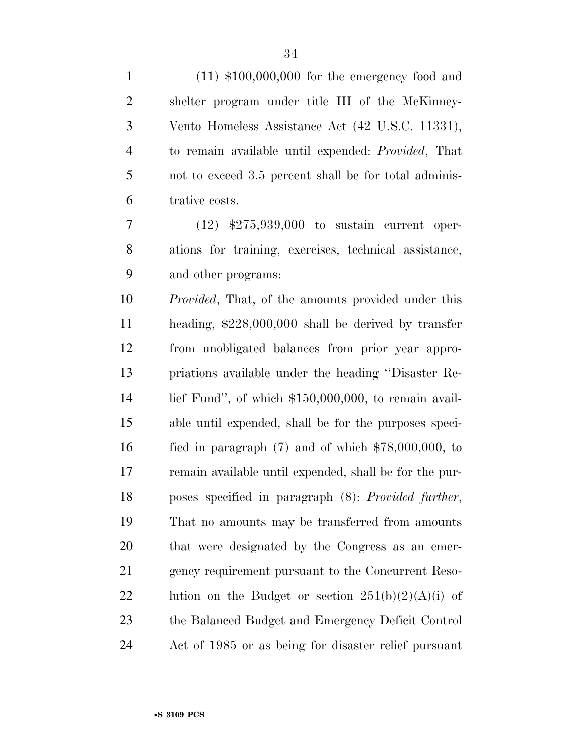| $\mathbf{1}$   | $(11)$ \$100,000,000 for the emergency food and            |
|----------------|------------------------------------------------------------|
| $\overline{2}$ | shelter program under title III of the McKinney-           |
| 3              | Vento Homeless Assistance Act (42 U.S.C. 11331),           |
| $\overline{4}$ | to remain available until expended: <i>Provided</i> , That |
| 5              | not to exceed 3.5 percent shall be for total adminis-      |
| 6              | trative costs.                                             |
| 7              | $(12)$ \$275,939,000 to sustain current oper-              |
| 8              | ations for training, exercises, technical assistance,      |
| 9              | and other programs:                                        |
| 10             | <i>Provided</i> , That, of the amounts provided under this |
| 11             | heading, $$228,000,000$ shall be derived by transfer       |
| 12             | from unobligated balances from prior year appro-           |
| 13             | priations available under the heading "Disaster Re-        |
| 14             | lief Fund", of which $$150,000,000$ , to remain avail-     |
| 15             | able until expended, shall be for the purposes speci-      |
| 16             | fied in paragraph $(7)$ and of which $$78,000,000$ , to    |
| 17             | remain available until expended, shall be for the pur-     |
| 18             | poses specified in paragraph (8): Provided further,        |
| 19             | That no amounts may be transferred from amounts            |
| 20             | that were designated by the Congress as an emer-           |
| 21             | gency requirement pursuant to the Concurrent Reso-         |
| 22             | lution on the Budget or section $251(b)(2)(A)(i)$ of       |
| 23             | the Balanced Budget and Emergency Deficit Control          |
| 24             | Act of 1985 or as being for disaster relief pursuant       |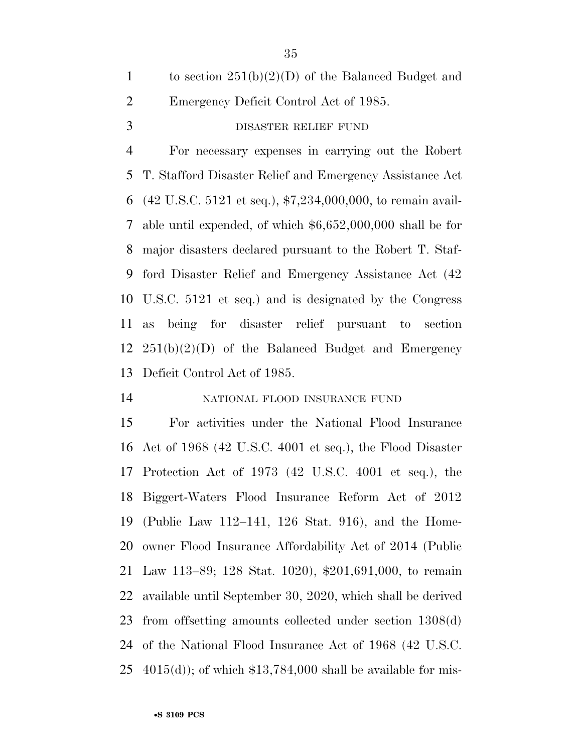|               | to section $251(b)(2)(D)$ of the Balanced Budget and |
|---------------|------------------------------------------------------|
| 2             | Emergency Deficit Control Act of 1985.               |
| $\mathcal{R}$ | DISASTER RELIEF FUND                                 |

 For necessary expenses in carrying out the Robert T. Stafford Disaster Relief and Emergency Assistance Act (42 U.S.C. 5121 et seq.), \$7,234,000,000, to remain avail- able until expended, of which \$6,652,000,000 shall be for major disasters declared pursuant to the Robert T. Staf- ford Disaster Relief and Emergency Assistance Act (42 U.S.C. 5121 et seq.) and is designated by the Congress as being for disaster relief pursuant to section 251(b)(2)(D) of the Balanced Budget and Emergency Deficit Control Act of 1985.

#### NATIONAL FLOOD INSURANCE FUND

 For activities under the National Flood Insurance Act of 1968 (42 U.S.C. 4001 et seq.), the Flood Disaster Protection Act of 1973 (42 U.S.C. 4001 et seq.), the Biggert-Waters Flood Insurance Reform Act of 2012 (Public Law 112–141, 126 Stat. 916), and the Home- owner Flood Insurance Affordability Act of 2014 (Public Law 113–89; 128 Stat. 1020), \$201,691,000, to remain available until September 30, 2020, which shall be derived from offsetting amounts collected under section 1308(d) of the National Flood Insurance Act of 1968 (42 U.S.C.  $4015(d)$ ; of which \$13,784,000 shall be available for mis-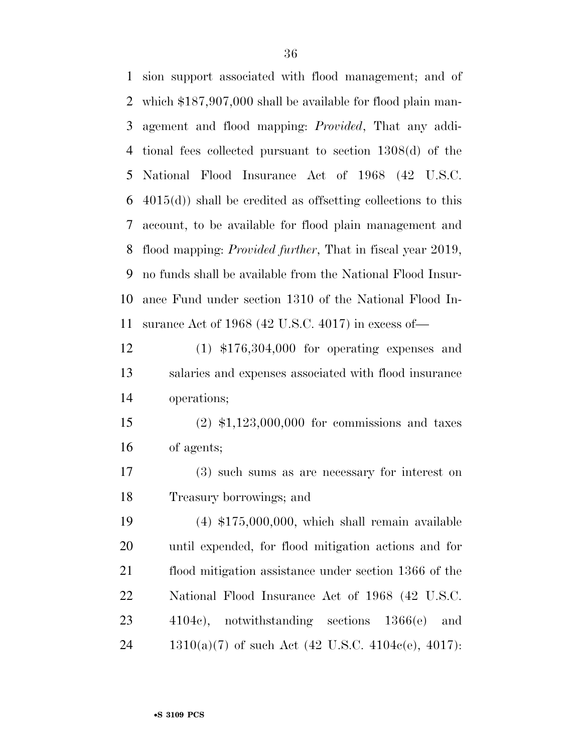sion support associated with flood management; and of which \$187,907,000 shall be available for flood plain man- agement and flood mapping: *Provided*, That any addi- tional fees collected pursuant to section 1308(d) of the National Flood Insurance Act of 1968 (42 U.S.C. 4015(d)) shall be credited as offsetting collections to this account, to be available for flood plain management and flood mapping: *Provided further*, That in fiscal year 2019, no funds shall be available from the National Flood Insur- ance Fund under section 1310 of the National Flood In- surance Act of 1968 (42 U.S.C. 4017) in excess of— (1) \$176,304,000 for operating expenses and salaries and expenses associated with flood insurance operations; (2) \$1,123,000,000 for commissions and taxes of agents; (3) such sums as are necessary for interest on Treasury borrowings; and (4) \$175,000,000, which shall remain available until expended, for flood mitigation actions and for flood mitigation assistance under section 1366 of the National Flood Insurance Act of 1968 (42 U.S.C. 4104c), notwithstanding sections 1366(e) and 1310(a)(7) of such Act (42 U.S.C. 4104c(e), 4017):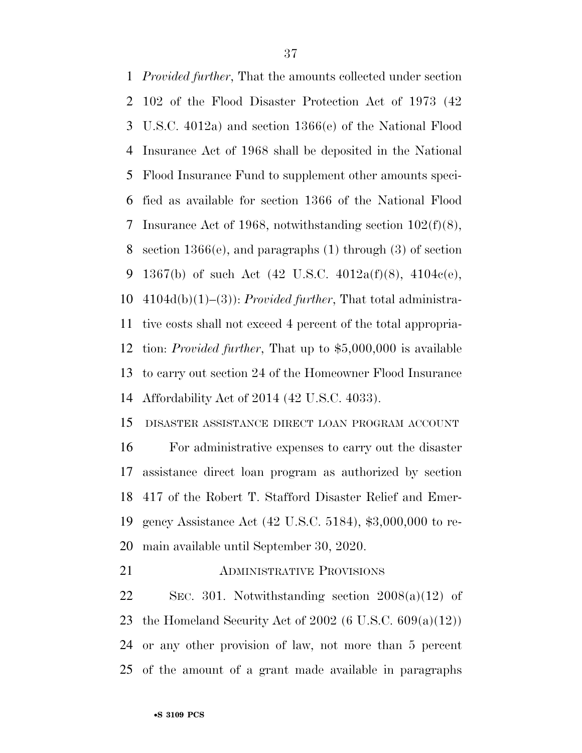*Provided further*, That the amounts collected under section 102 of the Flood Disaster Protection Act of 1973 (42 U.S.C. 4012a) and section 1366(e) of the National Flood Insurance Act of 1968 shall be deposited in the National Flood Insurance Fund to supplement other amounts speci- fied as available for section 1366 of the National Flood Insurance Act of 1968, notwithstanding section 102(f)(8), section 1366(e), and paragraphs (1) through (3) of section 9 1367(b) of such Act  $(42 \text{ U.S.C. } 4012a\text{f})(8)$ ,  $4104c\text{e}$ , 4104d(b)(1)–(3)): *Provided further*, That total administra- tive costs shall not exceed 4 percent of the total appropria- tion: *Provided further*, That up to \$5,000,000 is available to carry out section 24 of the Homeowner Flood Insurance Affordability Act of 2014 (42 U.S.C. 4033).

 DISASTER ASSISTANCE DIRECT LOAN PROGRAM ACCOUNT For administrative expenses to carry out the disaster assistance direct loan program as authorized by section 417 of the Robert T. Stafford Disaster Relief and Emer- gency Assistance Act (42 U.S.C. 5184), \$3,000,000 to re-main available until September 30, 2020.

ADMINISTRATIVE PROVISIONS

22 SEC. 301. Notwithstanding section  $2008(a)(12)$  of 23 the Homeland Security Act of (6 U.S.C.  $609(a)(12)$ ) or any other provision of law, not more than 5 percent of the amount of a grant made available in paragraphs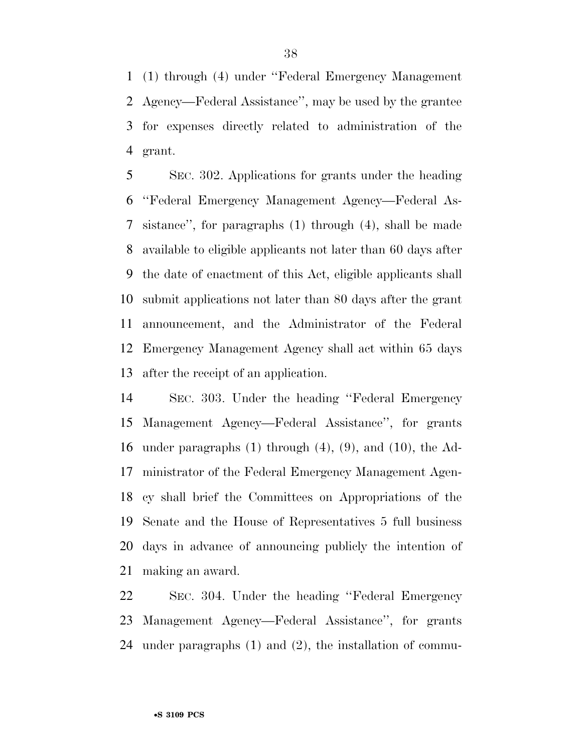(1) through (4) under ''Federal Emergency Management Agency—Federal Assistance'', may be used by the grantee for expenses directly related to administration of the grant.

 SEC. 302. Applications for grants under the heading ''Federal Emergency Management Agency—Federal As- sistance'', for paragraphs (1) through (4), shall be made available to eligible applicants not later than 60 days after the date of enactment of this Act, eligible applicants shall submit applications not later than 80 days after the grant announcement, and the Administrator of the Federal Emergency Management Agency shall act within 65 days after the receipt of an application.

 SEC. 303. Under the heading ''Federal Emergency Management Agency—Federal Assistance'', for grants under paragraphs (1) through (4), (9), and (10), the Ad- ministrator of the Federal Emergency Management Agen- cy shall brief the Committees on Appropriations of the Senate and the House of Representatives 5 full business days in advance of announcing publicly the intention of making an award.

 SEC. 304. Under the heading ''Federal Emergency Management Agency—Federal Assistance'', for grants under paragraphs (1) and (2), the installation of commu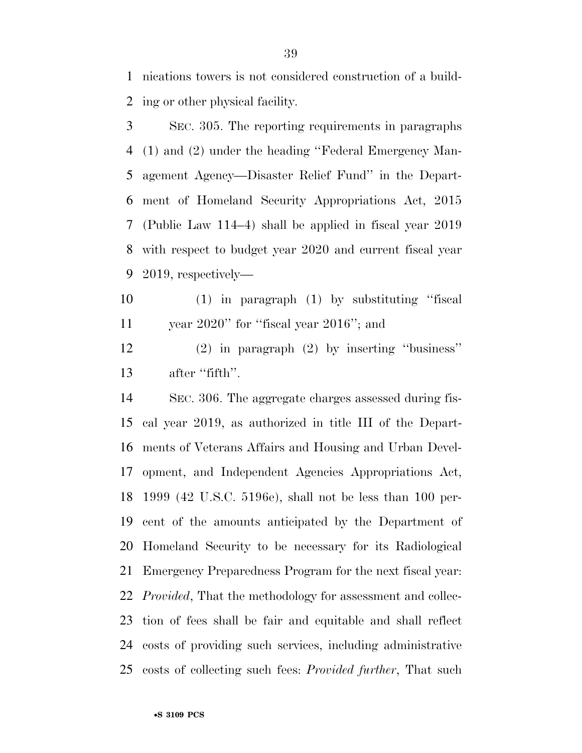nications towers is not considered construction of a build-ing or other physical facility.

 SEC. 305. The reporting requirements in paragraphs (1) and (2) under the heading ''Federal Emergency Man- agement Agency—Disaster Relief Fund'' in the Depart- ment of Homeland Security Appropriations Act, 2015 (Public Law 114–4) shall be applied in fiscal year 2019 with respect to budget year 2020 and current fiscal year 2019, respectively—

 (1) in paragraph (1) by substituting ''fiscal year 2020'' for ''fiscal year 2016''; and

 (2) in paragraph (2) by inserting ''business'' 13 after "fifth".

 SEC. 306. The aggregate charges assessed during fis- cal year 2019, as authorized in title III of the Depart- ments of Veterans Affairs and Housing and Urban Devel- opment, and Independent Agencies Appropriations Act, 1999 (42 U.S.C. 5196e), shall not be less than 100 per- cent of the amounts anticipated by the Department of Homeland Security to be necessary for its Radiological Emergency Preparedness Program for the next fiscal year: *Provided*, That the methodology for assessment and collec- tion of fees shall be fair and equitable and shall reflect costs of providing such services, including administrative costs of collecting such fees: *Provided further*, That such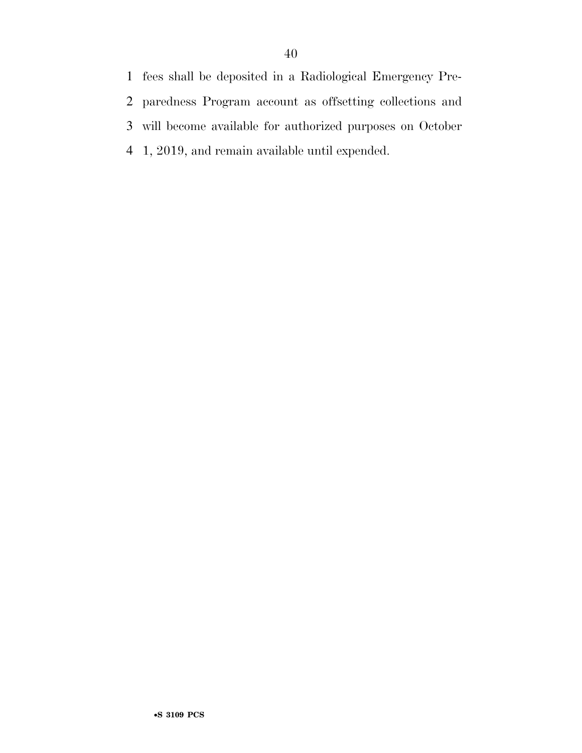fees shall be deposited in a Radiological Emergency Pre- paredness Program account as offsetting collections and will become available for authorized purposes on October 1, 2019, and remain available until expended.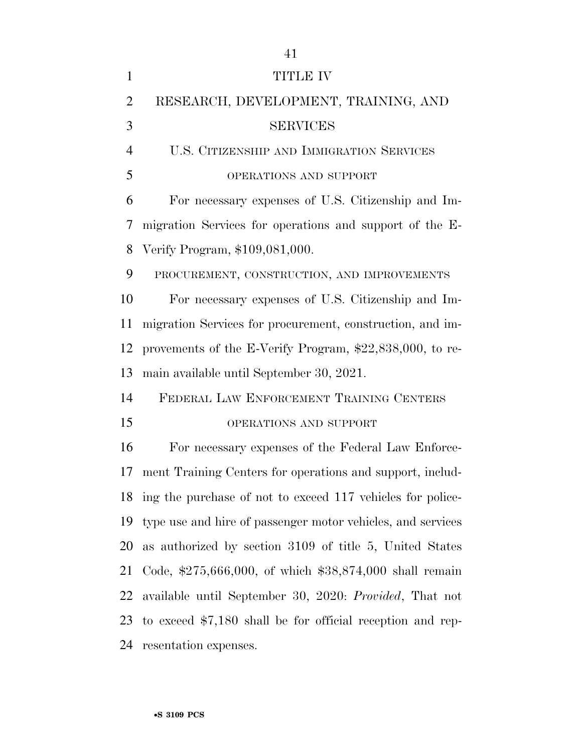| $\mathbf{1}$   | <b>TITLE IV</b>                                               |
|----------------|---------------------------------------------------------------|
| $\overline{2}$ | RESEARCH, DEVELOPMENT, TRAINING, AND                          |
| 3              | <b>SERVICES</b>                                               |
| $\overline{4}$ | U.S. CITIZENSHIP AND IMMIGRATION SERVICES                     |
| 5              | OPERATIONS AND SUPPORT                                        |
| 6              | For necessary expenses of U.S. Citizenship and Im-            |
| 7              | migration Services for operations and support of the E-       |
| 8              | Verify Program, \$109,081,000.                                |
| 9              | PROCUREMENT, CONSTRUCTION, AND IMPROVEMENTS                   |
| 10             | For necessary expenses of U.S. Citizenship and Im-            |
| 11             | migration Services for procurement, construction, and im-     |
| 12             | provements of the E-Verify Program, \$22,838,000, to re-      |
| 13             | main available until September 30, 2021.                      |
| 14             | FEDERAL LAW ENFORCEMENT TRAINING CENTERS                      |
| 15             | OPERATIONS AND SUPPORT                                        |
| 16             | For necessary expenses of the Federal Law Enforce-            |
| 17             | ment Training Centers for operations and support, includ-     |
|                | 18 ing the purchase of not to exceed 117 vehicles for police- |
| 19             | type use and hire of passenger motor vehicles, and services   |
| 20             | as authorized by section 3109 of title 5, United States       |
| 21             | Code, \$275,666,000, of which \$38,874,000 shall remain       |
| 22             | available until September 30, 2020: Provided, That not        |
| 23             | to exceed $$7,180$ shall be for official reception and rep-   |
|                | 24 resentation expenses.                                      |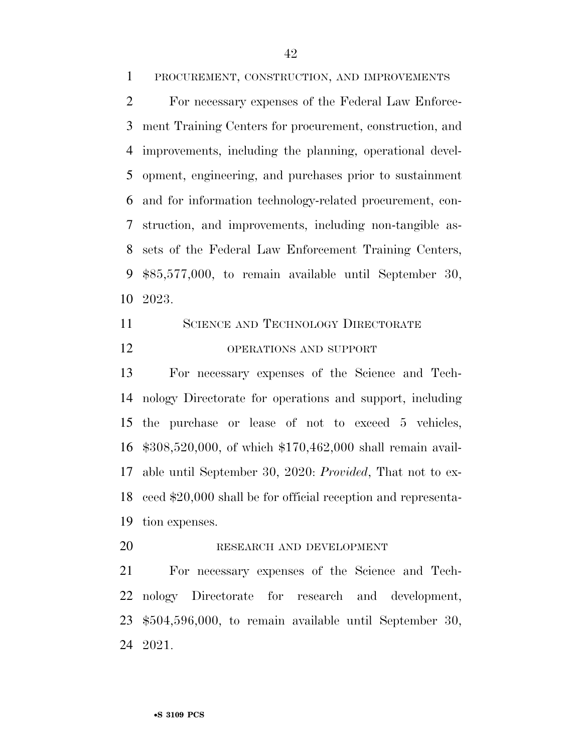PROCUREMENT, CONSTRUCTION, AND IMPROVEMENTS

 For necessary expenses of the Federal Law Enforce- ment Training Centers for procurement, construction, and improvements, including the planning, operational devel- opment, engineering, and purchases prior to sustainment and for information technology-related procurement, con- struction, and improvements, including non-tangible as- sets of the Federal Law Enforcement Training Centers, \$85,577,000, to remain available until September 30, 2023.

 SCIENCE AND TECHNOLOGY DIRECTORATE OPERATIONS AND SUPPORT

 For necessary expenses of the Science and Tech- nology Directorate for operations and support, including the purchase or lease of not to exceed 5 vehicles, \$308,520,000, of which \$170,462,000 shall remain avail- able until September 30, 2020: *Provided*, That not to ex- ceed \$20,000 shall be for official reception and representa-tion expenses.

RESEARCH AND DEVELOPMENT

 For necessary expenses of the Science and Tech- nology Directorate for research and development, \$504,596,000, to remain available until September 30, 2021.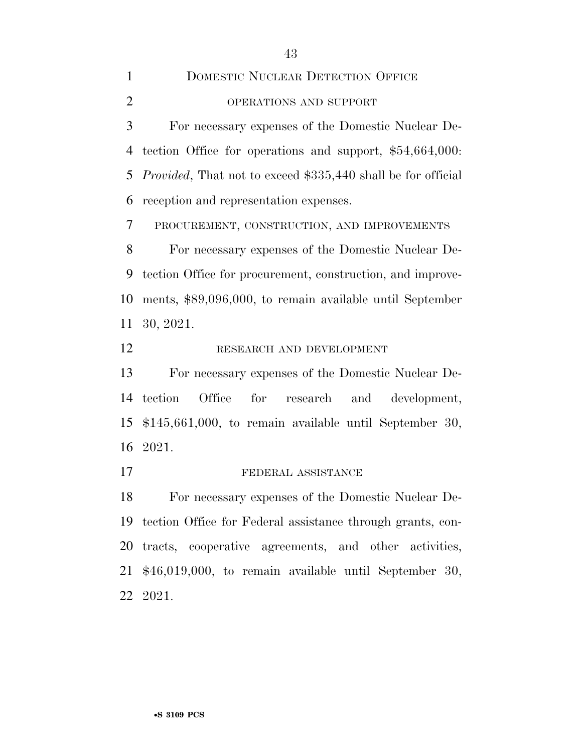For necessary expenses of the Domestic Nuclear De- tection Office for operations and support, \$54,664,000: *Provided*, That not to exceed \$335,440 shall be for official reception and representation expenses.

PROCUREMENT, CONSTRUCTION, AND IMPROVEMENTS

 For necessary expenses of the Domestic Nuclear De- tection Office for procurement, construction, and improve- ments, \$89,096,000, to remain available until September 30, 2021.

RESEARCH AND DEVELOPMENT

 For necessary expenses of the Domestic Nuclear De- tection Office for research and development, \$145,661,000, to remain available until September 30, 2021.

#### 17 FEDERAL ASSISTANCE

 For necessary expenses of the Domestic Nuclear De- tection Office for Federal assistance through grants, con- tracts, cooperative agreements, and other activities, \$46,019,000, to remain available until September 30, 2021.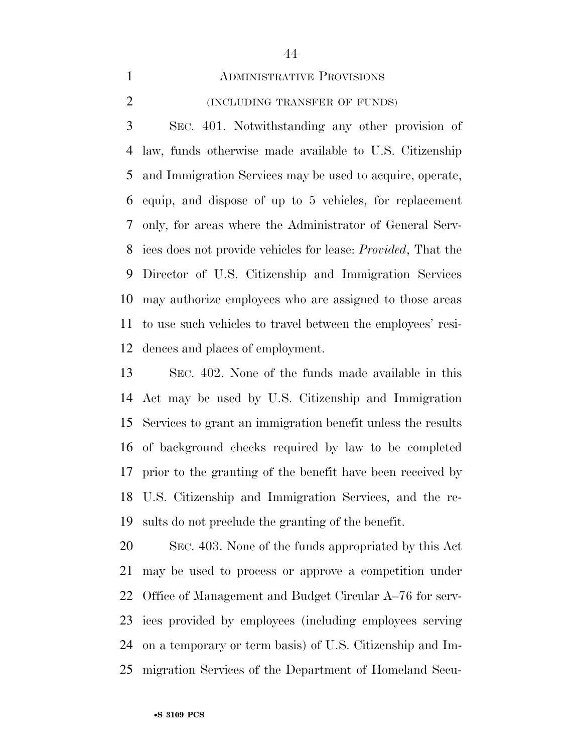#### ADMINISTRATIVE PROVISIONS

(INCLUDING TRANSFER OF FUNDS)

 SEC. 401. Notwithstanding any other provision of law, funds otherwise made available to U.S. Citizenship and Immigration Services may be used to acquire, operate, equip, and dispose of up to 5 vehicles, for replacement only, for areas where the Administrator of General Serv- ices does not provide vehicles for lease: *Provided*, That the Director of U.S. Citizenship and Immigration Services may authorize employees who are assigned to those areas to use such vehicles to travel between the employees' resi-dences and places of employment.

 SEC. 402. None of the funds made available in this Act may be used by U.S. Citizenship and Immigration Services to grant an immigration benefit unless the results of background checks required by law to be completed prior to the granting of the benefit have been received by U.S. Citizenship and Immigration Services, and the re-sults do not preclude the granting of the benefit.

 SEC. 403. None of the funds appropriated by this Act may be used to process or approve a competition under Office of Management and Budget Circular A–76 for serv- ices provided by employees (including employees serving on a temporary or term basis) of U.S. Citizenship and Im-migration Services of the Department of Homeland Secu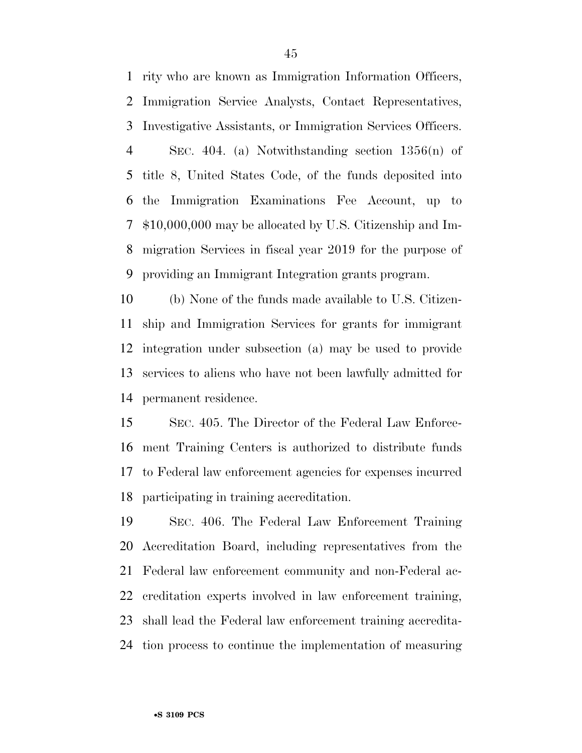rity who are known as Immigration Information Officers, Immigration Service Analysts, Contact Representatives, Investigative Assistants, or Immigration Services Officers. SEC. 404. (a) Notwithstanding section 1356(n) of title 8, United States Code, of the funds deposited into the Immigration Examinations Fee Account, up to \$10,000,000 may be allocated by U.S. Citizenship and Im- migration Services in fiscal year 2019 for the purpose of providing an Immigrant Integration grants program.

 (b) None of the funds made available to U.S. Citizen- ship and Immigration Services for grants for immigrant integration under subsection (a) may be used to provide services to aliens who have not been lawfully admitted for permanent residence.

 SEC. 405. The Director of the Federal Law Enforce- ment Training Centers is authorized to distribute funds to Federal law enforcement agencies for expenses incurred participating in training accreditation.

 SEC. 406. The Federal Law Enforcement Training Accreditation Board, including representatives from the Federal law enforcement community and non-Federal ac- creditation experts involved in law enforcement training, shall lead the Federal law enforcement training accredita-tion process to continue the implementation of measuring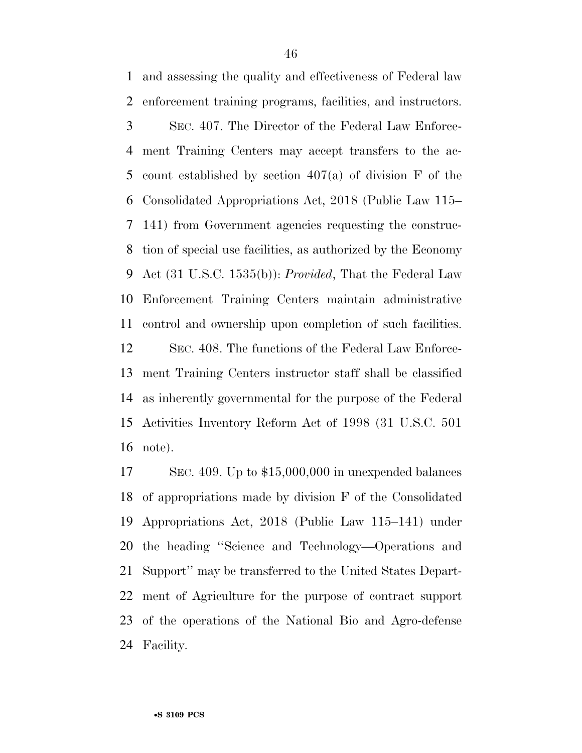and assessing the quality and effectiveness of Federal law enforcement training programs, facilities, and instructors. SEC. 407. The Director of the Federal Law Enforce- ment Training Centers may accept transfers to the ac- count established by section 407(a) of division F of the Consolidated Appropriations Act, 2018 (Public Law 115– 141) from Government agencies requesting the construc- tion of special use facilities, as authorized by the Economy Act (31 U.S.C. 1535(b)): *Provided*, That the Federal Law Enforcement Training Centers maintain administrative control and ownership upon completion of such facilities. SEC. 408. The functions of the Federal Law Enforce- ment Training Centers instructor staff shall be classified as inherently governmental for the purpose of the Federal

 Activities Inventory Reform Act of 1998 (31 U.S.C. 501 note).

 SEC. 409. Up to \$15,000,000 in unexpended balances of appropriations made by division F of the Consolidated Appropriations Act, 2018 (Public Law 115–141) under the heading ''Science and Technology—Operations and Support'' may be transferred to the United States Depart- ment of Agriculture for the purpose of contract support of the operations of the National Bio and Agro-defense Facility.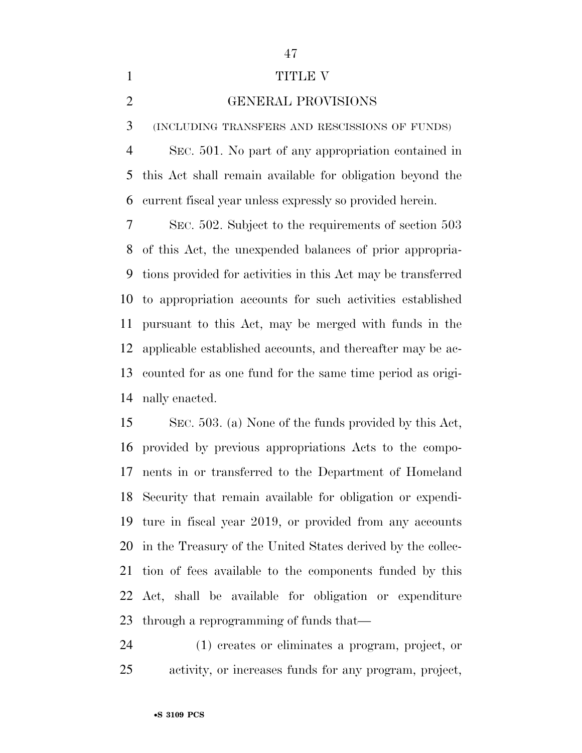## 1 TITLE V

#### GENERAL PROVISIONS

(INCLUDING TRANSFERS AND RESCISSIONS OF FUNDS)

 SEC. 501. No part of any appropriation contained in this Act shall remain available for obligation beyond the current fiscal year unless expressly so provided herein.

 SEC. 502. Subject to the requirements of section 503 of this Act, the unexpended balances of prior appropria- tions provided for activities in this Act may be transferred to appropriation accounts for such activities established pursuant to this Act, may be merged with funds in the applicable established accounts, and thereafter may be ac- counted for as one fund for the same time period as origi-nally enacted.

 SEC. 503. (a) None of the funds provided by this Act, provided by previous appropriations Acts to the compo- nents in or transferred to the Department of Homeland Security that remain available for obligation or expendi- ture in fiscal year 2019, or provided from any accounts in the Treasury of the United States derived by the collec- tion of fees available to the components funded by this Act, shall be available for obligation or expenditure through a reprogramming of funds that—

 (1) creates or eliminates a program, project, or activity, or increases funds for any program, project,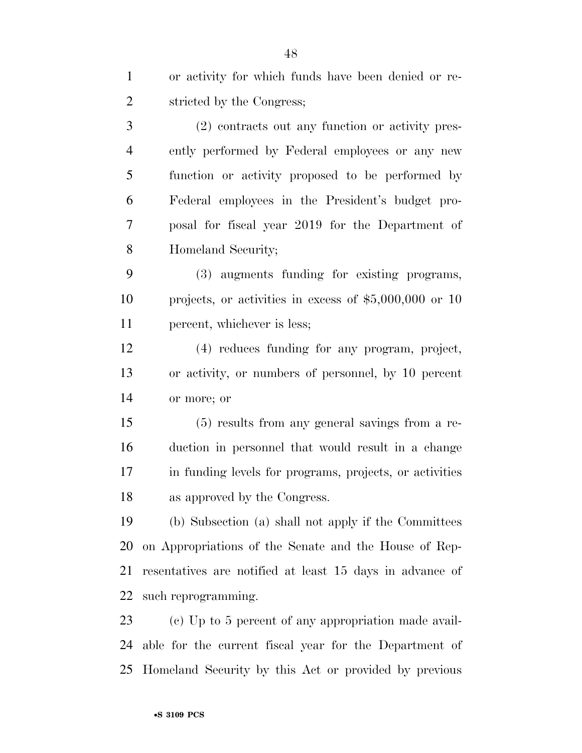| $\mathbf{1}$   | or activity for which funds have been denied or re-      |
|----------------|----------------------------------------------------------|
| $\overline{2}$ | stricted by the Congress;                                |
| 3              | (2) contracts out any function or activity pres-         |
| $\overline{4}$ | ently performed by Federal employees or any new          |
| 5              | function or activity proposed to be performed by         |
| 6              | Federal employees in the President's budget pro-         |
| 7              | posal for fiscal year 2019 for the Department of         |
| 8              | Homeland Security;                                       |
| 9              | (3) augments funding for existing programs,              |
| 10             | projects, or activities in excess of $$5,000,000$ or 10  |
| 11             | percent, whichever is less;                              |
| 12             | (4) reduces funding for any program, project,            |
| 13             | or activity, or numbers of personnel, by 10 percent      |
| 14             | or more; or                                              |
| 15             | (5) results from any general savings from a re-          |
| 16             | duction in personnel that would result in a change       |
| 17             | in funding levels for programs, projects, or activities  |
| 18             | as approved by the Congress.                             |
| 19             | (b) Subsection (a) shall not apply if the Committees     |
| 20             | on Appropriations of the Senate and the House of Rep-    |
| 21             | resentatives are notified at least 15 days in advance of |
| 22             | such reprogramming.                                      |
| 23             | (c) Up to 5 percent of any appropriation made avail-     |
| 24             | able for the current fiscal year for the Department of   |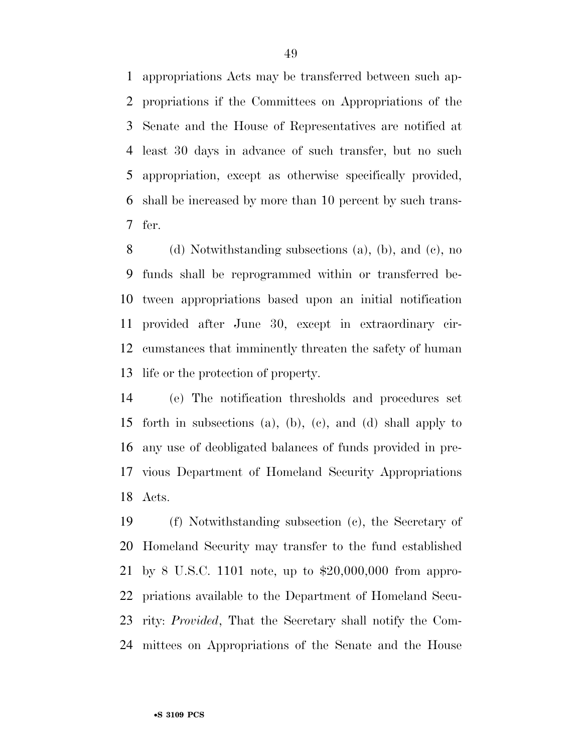appropriations Acts may be transferred between such ap- propriations if the Committees on Appropriations of the Senate and the House of Representatives are notified at least 30 days in advance of such transfer, but no such appropriation, except as otherwise specifically provided, shall be increased by more than 10 percent by such trans-fer.

 (d) Notwithstanding subsections (a), (b), and (c), no funds shall be reprogrammed within or transferred be- tween appropriations based upon an initial notification provided after June 30, except in extraordinary cir- cumstances that imminently threaten the safety of human life or the protection of property.

 (e) The notification thresholds and procedures set forth in subsections (a), (b), (c), and (d) shall apply to any use of deobligated balances of funds provided in pre- vious Department of Homeland Security Appropriations Acts.

 (f) Notwithstanding subsection (c), the Secretary of Homeland Security may transfer to the fund established by 8 U.S.C. 1101 note, up to \$20,000,000 from appro- priations available to the Department of Homeland Secu- rity: *Provided*, That the Secretary shall notify the Com-mittees on Appropriations of the Senate and the House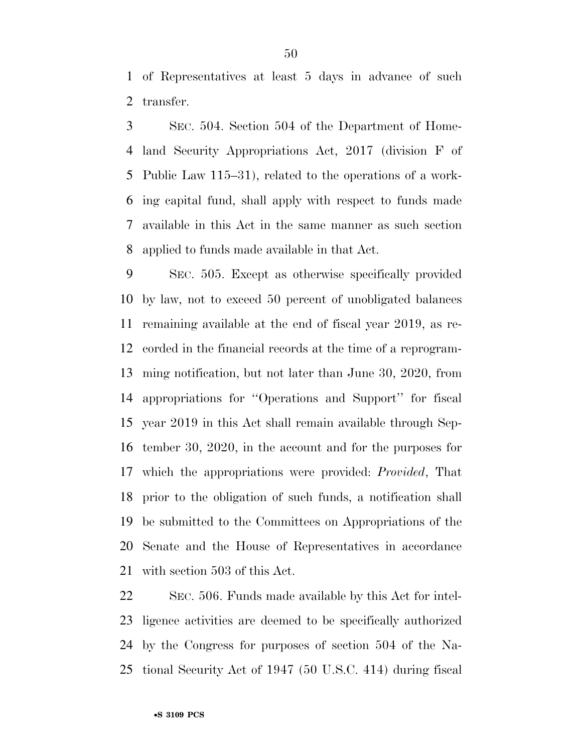of Representatives at least 5 days in advance of such transfer.

 SEC. 504. Section 504 of the Department of Home- land Security Appropriations Act, 2017 (division F of Public Law 115–31), related to the operations of a work- ing capital fund, shall apply with respect to funds made available in this Act in the same manner as such section applied to funds made available in that Act.

 SEC. 505. Except as otherwise specifically provided by law, not to exceed 50 percent of unobligated balances remaining available at the end of fiscal year 2019, as re- corded in the financial records at the time of a reprogram- ming notification, but not later than June 30, 2020, from appropriations for ''Operations and Support'' for fiscal year 2019 in this Act shall remain available through Sep- tember 30, 2020, in the account and for the purposes for which the appropriations were provided: *Provided*, That prior to the obligation of such funds, a notification shall be submitted to the Committees on Appropriations of the Senate and the House of Representatives in accordance with section 503 of this Act.

 SEC. 506. Funds made available by this Act for intel- ligence activities are deemed to be specifically authorized by the Congress for purposes of section 504 of the Na-tional Security Act of 1947 (50 U.S.C. 414) during fiscal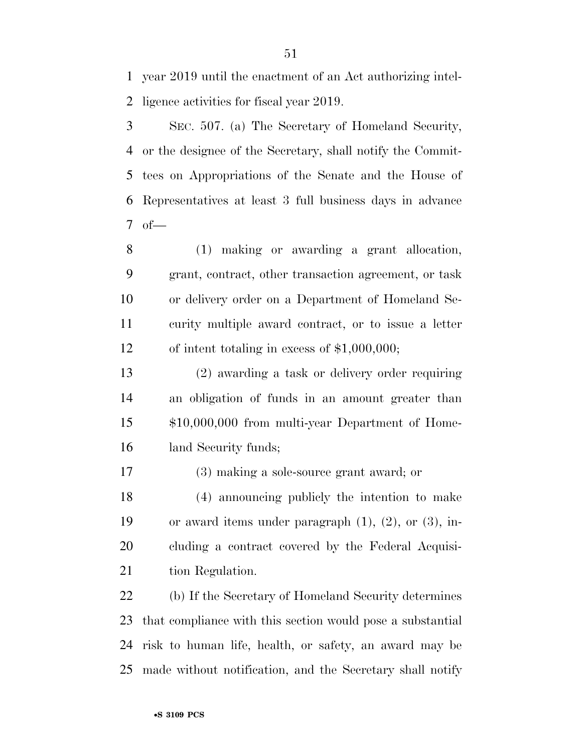year 2019 until the enactment of an Act authorizing intel-ligence activities for fiscal year 2019.

 SEC. 507. (a) The Secretary of Homeland Security, or the designee of the Secretary, shall notify the Commit- tees on Appropriations of the Senate and the House of Representatives at least 3 full business days in advance of—

 (1) making or awarding a grant allocation, grant, contract, other transaction agreement, or task or delivery order on a Department of Homeland Se- curity multiple award contract, or to issue a letter of intent totaling in excess of \$1,000,000;

 (2) awarding a task or delivery order requiring an obligation of funds in an amount greater than \$10,000,000 from multi-year Department of Home-land Security funds;

(3) making a sole-source grant award; or

 (4) announcing publicly the intention to make or award items under paragraph (1), (2), or (3), in- cluding a contract covered by the Federal Acquisi-21 tion Regulation.

 (b) If the Secretary of Homeland Security determines that compliance with this section would pose a substantial risk to human life, health, or safety, an award may be made without notification, and the Secretary shall notify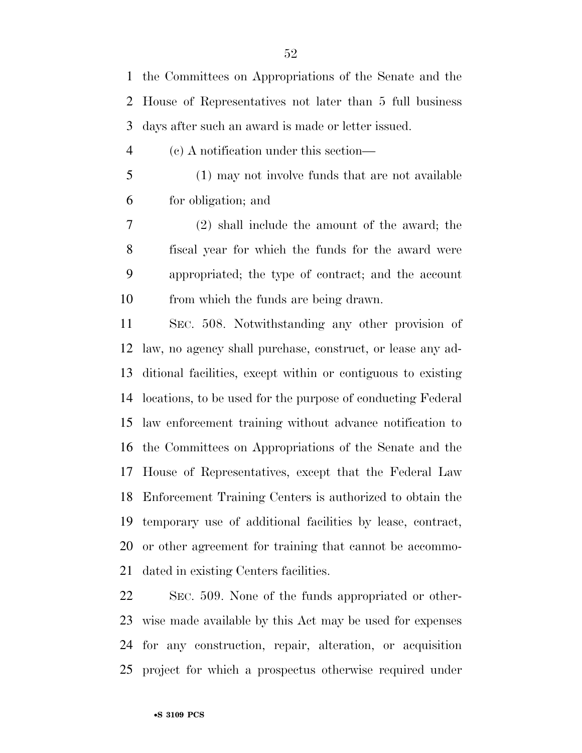the Committees on Appropriations of the Senate and the House of Representatives not later than 5 full business days after such an award is made or letter issued.

- (c) A notification under this section—
- (1) may not involve funds that are not available for obligation; and

 (2) shall include the amount of the award; the fiscal year for which the funds for the award were appropriated; the type of contract; and the account from which the funds are being drawn.

 SEC. 508. Notwithstanding any other provision of law, no agency shall purchase, construct, or lease any ad- ditional facilities, except within or contiguous to existing locations, to be used for the purpose of conducting Federal law enforcement training without advance notification to the Committees on Appropriations of the Senate and the House of Representatives, except that the Federal Law Enforcement Training Centers is authorized to obtain the temporary use of additional facilities by lease, contract, or other agreement for training that cannot be accommo-dated in existing Centers facilities.

 SEC. 509. None of the funds appropriated or other- wise made available by this Act may be used for expenses for any construction, repair, alteration, or acquisition project for which a prospectus otherwise required under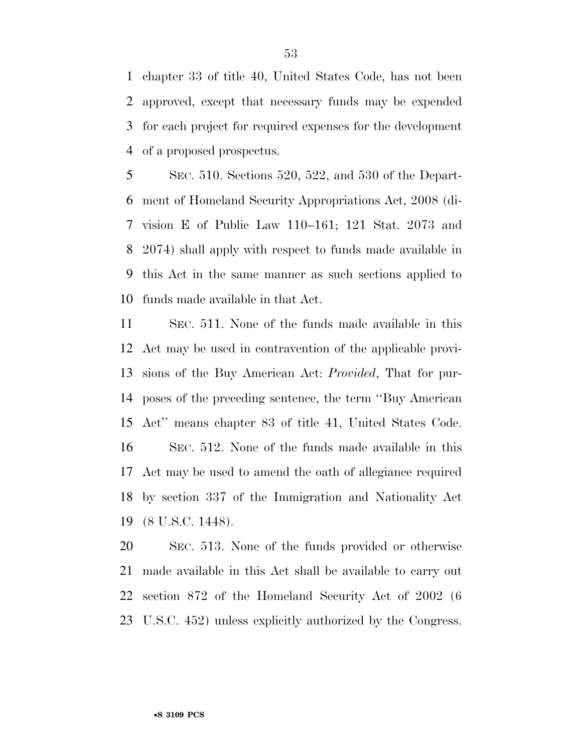chapter 33 of title 40, United States Code, has not been approved, except that necessary funds may be expended for each project for required expenses for the development of a proposed prospectus.

 SEC. 510. Sections 520, 522, and 530 of the Depart- ment of Homeland Security Appropriations Act, 2008 (di- vision E of Public Law 110–161; 121 Stat. 2073 and 2074) shall apply with respect to funds made available in this Act in the same manner as such sections applied to funds made available in that Act.

 SEC. 511. None of the funds made available in this Act may be used in contravention of the applicable provi- sions of the Buy American Act: *Provided*, That for pur- poses of the preceding sentence, the term ''Buy American Act'' means chapter 83 of title 41, United States Code. SEC. 512. None of the funds made available in this Act may be used to amend the oath of allegiance required by section 337 of the Immigration and Nationality Act (8 U.S.C. 1448).

 SEC. 513. None of the funds provided or otherwise made available in this Act shall be available to carry out section 872 of the Homeland Security Act of 2002 (6 U.S.C. 452) unless explicitly authorized by the Congress.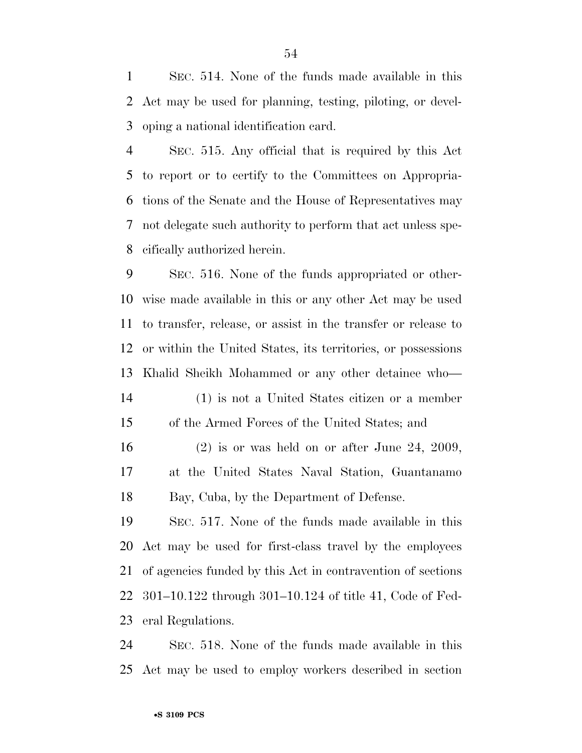SEC. 514. None of the funds made available in this Act may be used for planning, testing, piloting, or devel-oping a national identification card.

 SEC. 515. Any official that is required by this Act to report or to certify to the Committees on Appropria- tions of the Senate and the House of Representatives may not delegate such authority to perform that act unless spe-cifically authorized herein.

 SEC. 516. None of the funds appropriated or other- wise made available in this or any other Act may be used to transfer, release, or assist in the transfer or release to or within the United States, its territories, or possessions Khalid Sheikh Mohammed or any other detainee who— (1) is not a United States citizen or a member of the Armed Forces of the United States; and

 (2) is or was held on or after June 24, 2009, at the United States Naval Station, Guantanamo Bay, Cuba, by the Department of Defense.

 SEC. 517. None of the funds made available in this Act may be used for first-class travel by the employees of agencies funded by this Act in contravention of sections 301–10.122 through 301–10.124 of title 41, Code of Fed-eral Regulations.

 SEC. 518. None of the funds made available in this Act may be used to employ workers described in section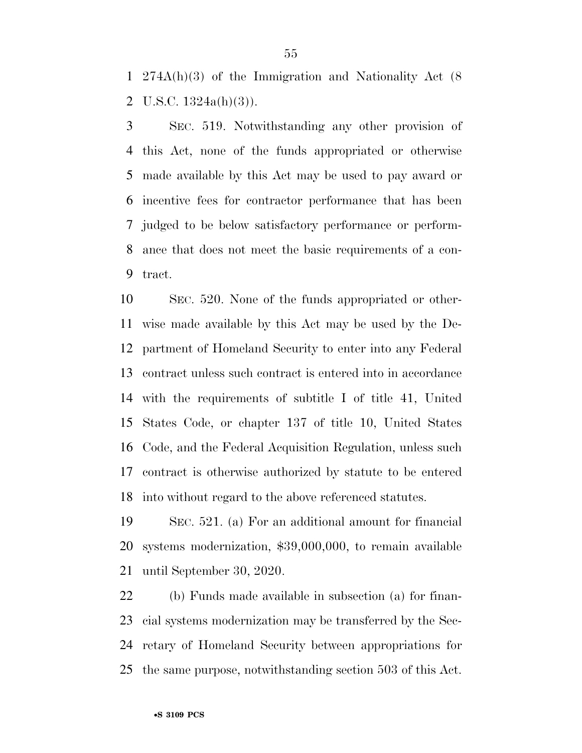274A(h)(3) of the Immigration and Nationality Act (8 2 U.S.C.  $1324a(h)(3)$ ).

 SEC. 519. Notwithstanding any other provision of this Act, none of the funds appropriated or otherwise made available by this Act may be used to pay award or incentive fees for contractor performance that has been judged to be below satisfactory performance or perform- ance that does not meet the basic requirements of a con-tract.

 SEC. 520. None of the funds appropriated or other- wise made available by this Act may be used by the De- partment of Homeland Security to enter into any Federal contract unless such contract is entered into in accordance with the requirements of subtitle I of title 41, United States Code, or chapter 137 of title 10, United States Code, and the Federal Acquisition Regulation, unless such contract is otherwise authorized by statute to be entered into without regard to the above referenced statutes.

 SEC. 521. (a) For an additional amount for financial systems modernization, \$39,000,000, to remain available until September 30, 2020.

 (b) Funds made available in subsection (a) for finan- cial systems modernization may be transferred by the Sec- retary of Homeland Security between appropriations for the same purpose, notwithstanding section 503 of this Act.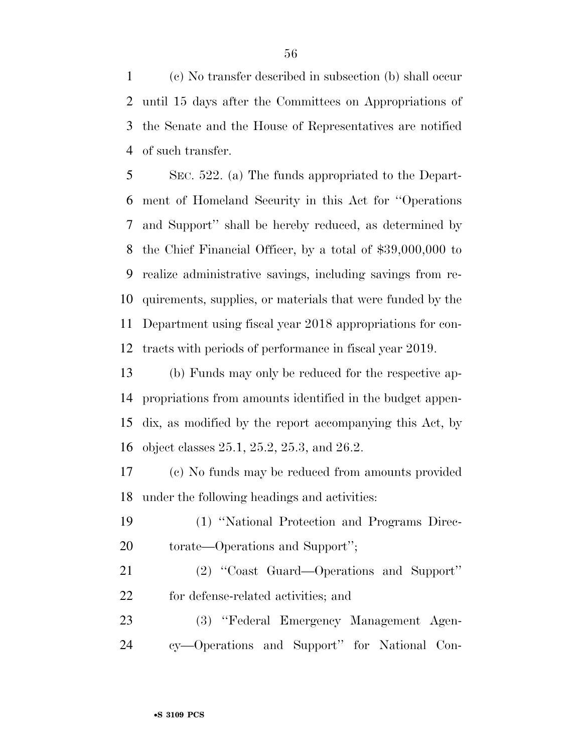(c) No transfer described in subsection (b) shall occur until 15 days after the Committees on Appropriations of the Senate and the House of Representatives are notified of such transfer.

 SEC. 522. (a) The funds appropriated to the Depart- ment of Homeland Security in this Act for ''Operations and Support'' shall be hereby reduced, as determined by the Chief Financial Officer, by a total of \$39,000,000 to realize administrative savings, including savings from re- quirements, supplies, or materials that were funded by the Department using fiscal year 2018 appropriations for con-tracts with periods of performance in fiscal year 2019.

 (b) Funds may only be reduced for the respective ap- propriations from amounts identified in the budget appen- dix, as modified by the report accompanying this Act, by object classes 25.1, 25.2, 25.3, and 26.2.

 (c) No funds may be reduced from amounts provided under the following headings and activities:

- (1) ''National Protection and Programs Direc-torate—Operations and Support'';
- (2) ''Coast Guard—Operations and Support'' for defense-related activities; and
- (3) ''Federal Emergency Management Agen-cy—Operations and Support'' for National Con-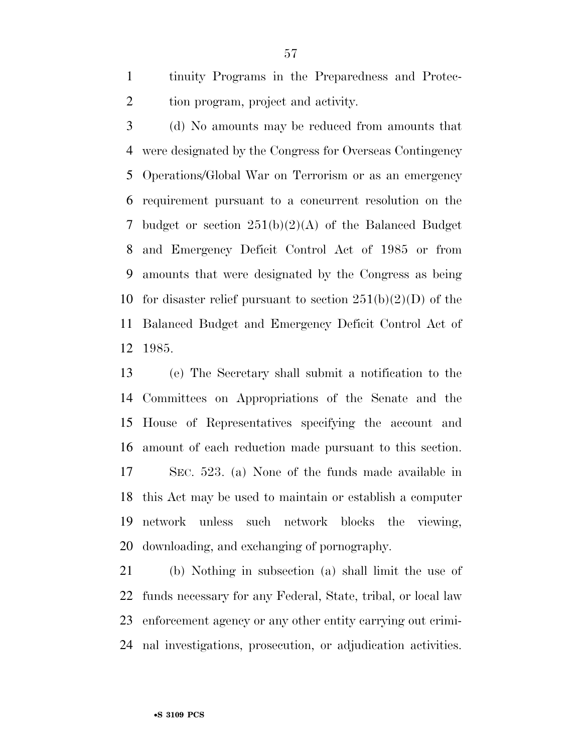tinuity Programs in the Preparedness and Protec-2 tion program, project and activity.

 (d) No amounts may be reduced from amounts that were designated by the Congress for Overseas Contingency Operations/Global War on Terrorism or as an emergency requirement pursuant to a concurrent resolution on the budget or section 251(b)(2)(A) of the Balanced Budget and Emergency Deficit Control Act of 1985 or from amounts that were designated by the Congress as being 10 for disaster relief pursuant to section  $251(b)(2)(D)$  of the Balanced Budget and Emergency Deficit Control Act of 1985.

 (e) The Secretary shall submit a notification to the Committees on Appropriations of the Senate and the House of Representatives specifying the account and amount of each reduction made pursuant to this section. SEC. 523. (a) None of the funds made available in this Act may be used to maintain or establish a computer network unless such network blocks the viewing, downloading, and exchanging of pornography.

 (b) Nothing in subsection (a) shall limit the use of funds necessary for any Federal, State, tribal, or local law enforcement agency or any other entity carrying out crimi-nal investigations, prosecution, or adjudication activities.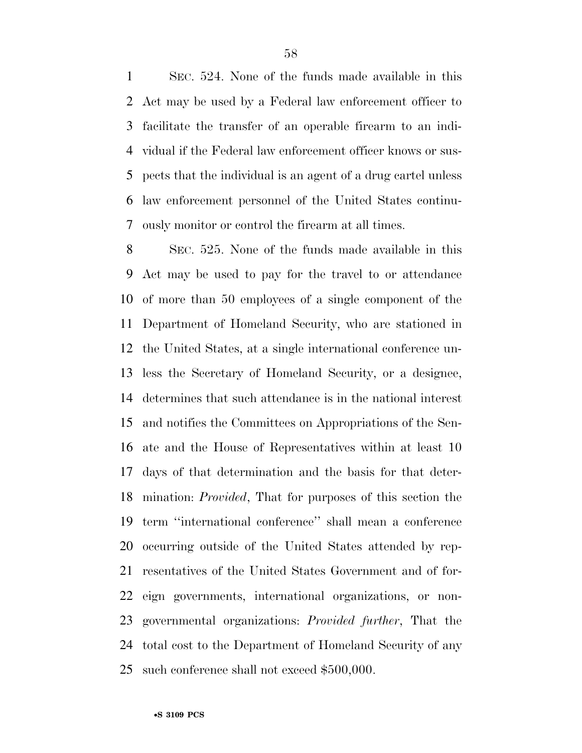SEC. 524. None of the funds made available in this Act may be used by a Federal law enforcement officer to facilitate the transfer of an operable firearm to an indi- vidual if the Federal law enforcement officer knows or sus- pects that the individual is an agent of a drug cartel unless law enforcement personnel of the United States continu-ously monitor or control the firearm at all times.

 SEC. 525. None of the funds made available in this Act may be used to pay for the travel to or attendance of more than 50 employees of a single component of the Department of Homeland Security, who are stationed in the United States, at a single international conference un- less the Secretary of Homeland Security, or a designee, determines that such attendance is in the national interest and notifies the Committees on Appropriations of the Sen- ate and the House of Representatives within at least 10 days of that determination and the basis for that deter- mination: *Provided*, That for purposes of this section the term ''international conference'' shall mean a conference occurring outside of the United States attended by rep- resentatives of the United States Government and of for- eign governments, international organizations, or non- governmental organizations: *Provided further*, That the total cost to the Department of Homeland Security of any such conference shall not exceed \$500,000.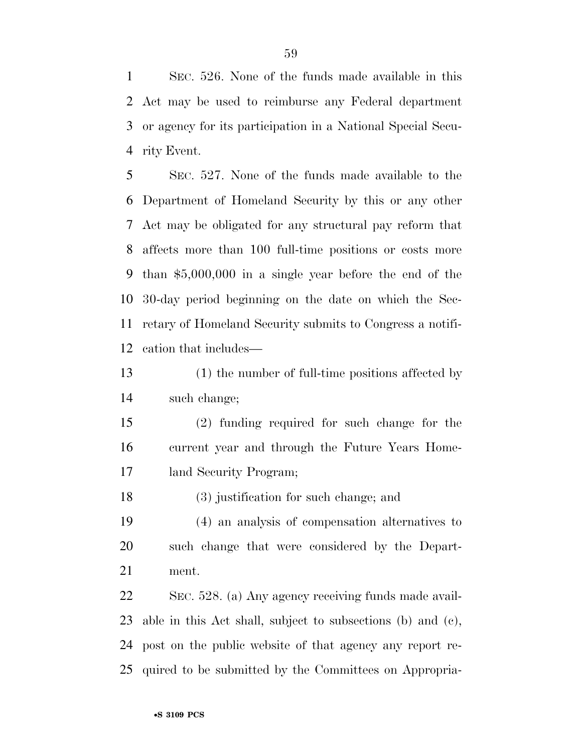SEC. 526. None of the funds made available in this Act may be used to reimburse any Federal department or agency for its participation in a National Special Secu-rity Event.

 SEC. 527. None of the funds made available to the Department of Homeland Security by this or any other Act may be obligated for any structural pay reform that affects more than 100 full-time positions or costs more than \$5,000,000 in a single year before the end of the 30-day period beginning on the date on which the Sec- retary of Homeland Security submits to Congress a notifi-cation that includes—

 (1) the number of full-time positions affected by such change;

 (2) funding required for such change for the current year and through the Future Years Home-land Security Program;

(3) justification for such change; and

 (4) an analysis of compensation alternatives to such change that were considered by the Depart-ment.

 SEC. 528. (a) Any agency receiving funds made avail- able in this Act shall, subject to subsections (b) and (c), post on the public website of that agency any report re-quired to be submitted by the Committees on Appropria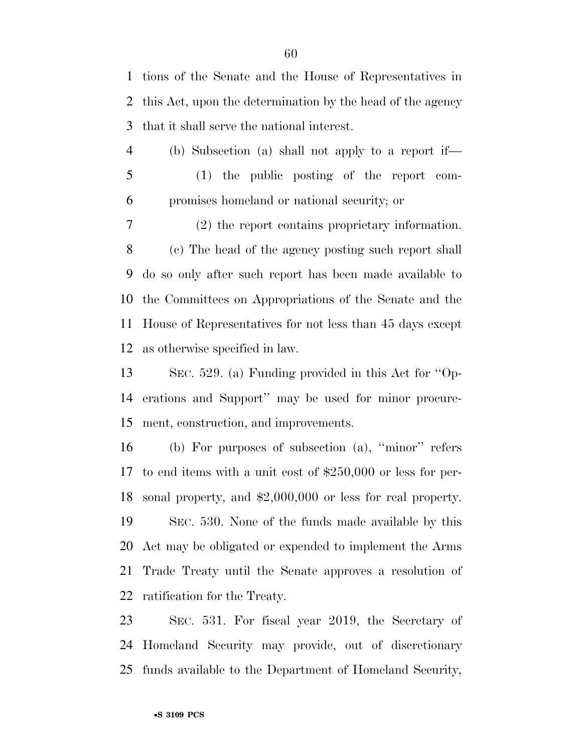tions of the Senate and the House of Representatives in this Act, upon the determination by the head of the agency that it shall serve the national interest.

 (b) Subsection (a) shall not apply to a report if— (1) the public posting of the report com-promises homeland or national security; or

 (2) the report contains proprietary information. (c) The head of the agency posting such report shall do so only after such report has been made available to the Committees on Appropriations of the Senate and the House of Representatives for not less than 45 days except as otherwise specified in law.

 SEC. 529. (a) Funding provided in this Act for ''Op- erations and Support'' may be used for minor procure-ment, construction, and improvements.

 (b) For purposes of subsection (a), ''minor'' refers to end items with a unit cost of \$250,000 or less for per- sonal property, and \$2,000,000 or less for real property. SEC. 530. None of the funds made available by this Act may be obligated or expended to implement the Arms Trade Treaty until the Senate approves a resolution of ratification for the Treaty.

 SEC. 531. For fiscal year 2019, the Secretary of Homeland Security may provide, out of discretionary funds available to the Department of Homeland Security,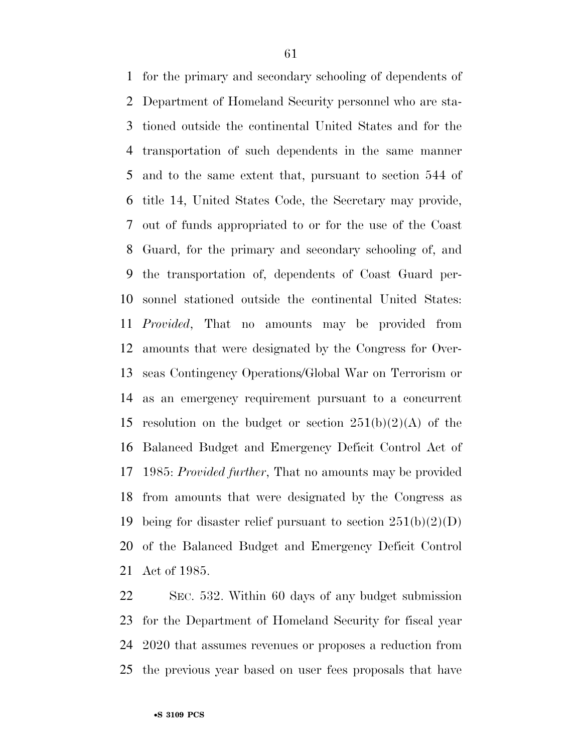for the primary and secondary schooling of dependents of Department of Homeland Security personnel who are sta- tioned outside the continental United States and for the transportation of such dependents in the same manner and to the same extent that, pursuant to section 544 of title 14, United States Code, the Secretary may provide, out of funds appropriated to or for the use of the Coast Guard, for the primary and secondary schooling of, and the transportation of, dependents of Coast Guard per- sonnel stationed outside the continental United States: *Provided*, That no amounts may be provided from amounts that were designated by the Congress for Over- seas Contingency Operations/Global War on Terrorism or as an emergency requirement pursuant to a concurrent 15 resolution on the budget or section  $251(b)(2)(A)$  of the Balanced Budget and Emergency Deficit Control Act of 1985: *Provided further*, That no amounts may be provided from amounts that were designated by the Congress as 19 being for disaster relief pursuant to section  $251(b)(2)(D)$  of the Balanced Budget and Emergency Deficit Control Act of 1985.

 SEC. 532. Within 60 days of any budget submission for the Department of Homeland Security for fiscal year 2020 that assumes revenues or proposes a reduction from the previous year based on user fees proposals that have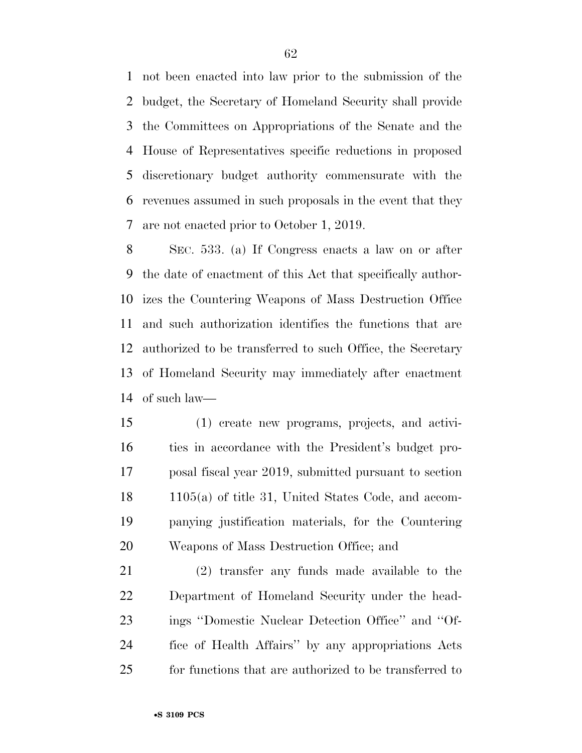not been enacted into law prior to the submission of the budget, the Secretary of Homeland Security shall provide the Committees on Appropriations of the Senate and the House of Representatives specific reductions in proposed discretionary budget authority commensurate with the revenues assumed in such proposals in the event that they are not enacted prior to October 1, 2019.

 SEC. 533. (a) If Congress enacts a law on or after the date of enactment of this Act that specifically author- izes the Countering Weapons of Mass Destruction Office and such authorization identifies the functions that are authorized to be transferred to such Office, the Secretary of Homeland Security may immediately after enactment of such law—

 (1) create new programs, projects, and activi- ties in accordance with the President's budget pro- posal fiscal year 2019, submitted pursuant to section 1105(a) of title 31, United States Code, and accom- panying justification materials, for the Countering Weapons of Mass Destruction Office; and

 (2) transfer any funds made available to the Department of Homeland Security under the head- ings ''Domestic Nuclear Detection Office'' and ''Of- fice of Health Affairs'' by any appropriations Acts for functions that are authorized to be transferred to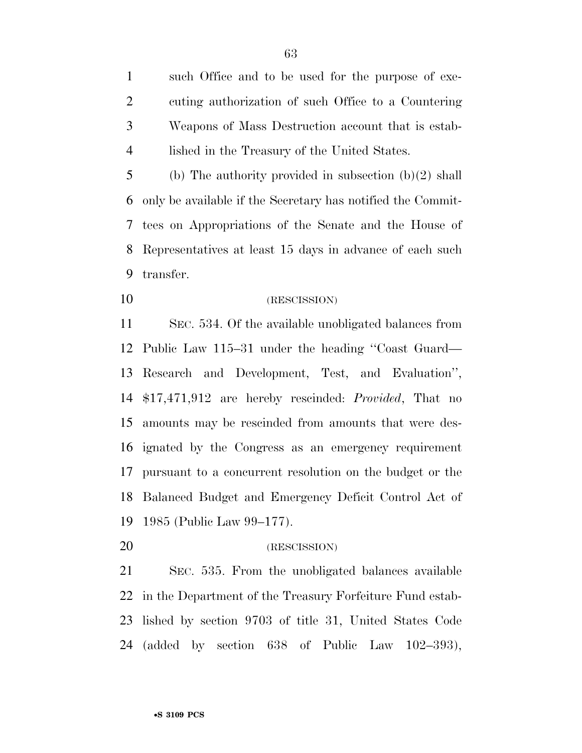such Office and to be used for the purpose of exe- cuting authorization of such Office to a Countering Weapons of Mass Destruction account that is estab-lished in the Treasury of the United States.

 (b) The authority provided in subsection (b)(2) shall only be available if the Secretary has notified the Commit- tees on Appropriations of the Senate and the House of Representatives at least 15 days in advance of each such transfer.

(RESCISSION)

 SEC. 534. Of the available unobligated balances from Public Law 115–31 under the heading ''Coast Guard— Research and Development, Test, and Evaluation'', \$17,471,912 are hereby rescinded: *Provided*, That no amounts may be rescinded from amounts that were des- ignated by the Congress as an emergency requirement pursuant to a concurrent resolution on the budget or the Balanced Budget and Emergency Deficit Control Act of 1985 (Public Law 99–177).

(RESCISSION)

 SEC. 535. From the unobligated balances available in the Department of the Treasury Forfeiture Fund estab- lished by section 9703 of title 31, United States Code (added by section 638 of Public Law 102–393),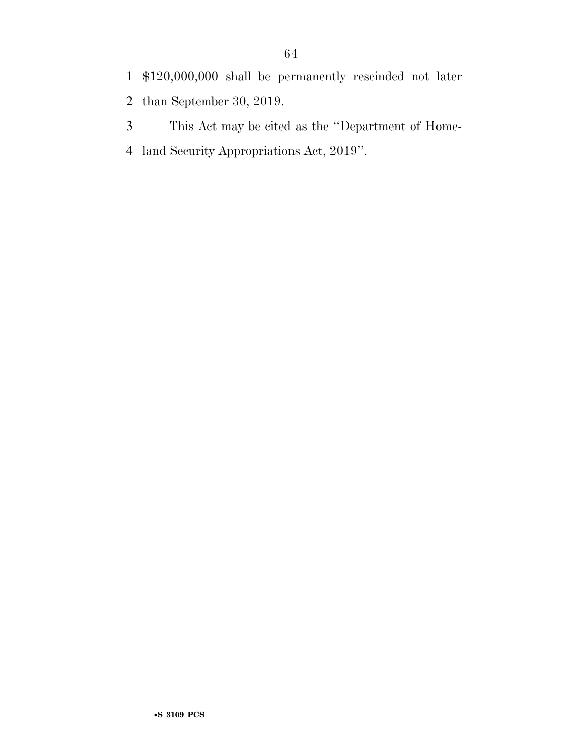This Act may be cited as the ''Department of Home-land Security Appropriations Act, 2019''.